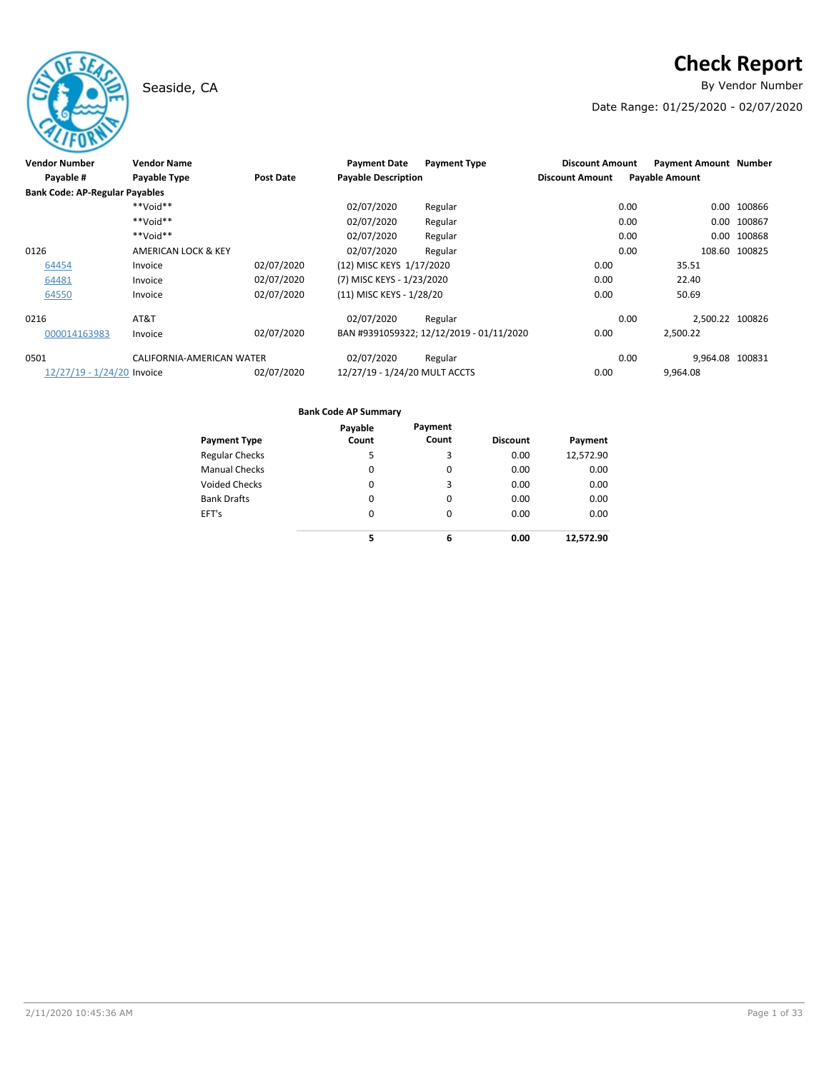# Seaside, CA **By Vendor Number**

# **Check Report**

Date Range: 01/25/2020 - 02/07/2020

| <b>Vendor Number</b>                  | <b>Vendor Name</b>             |                  | <b>Payment Date</b>           | <b>Payment Type</b>                      | <b>Discount Amount</b> | <b>Payment Amount Number</b> |                 |
|---------------------------------------|--------------------------------|------------------|-------------------------------|------------------------------------------|------------------------|------------------------------|-----------------|
| Payable #                             | Payable Type                   | <b>Post Date</b> | <b>Payable Description</b>    |                                          | <b>Discount Amount</b> | <b>Payable Amount</b>        |                 |
| <b>Bank Code: AP-Regular Payables</b> |                                |                  |                               |                                          |                        |                              |                 |
|                                       | $**$ NioV $**$                 |                  | 02/07/2020                    | Regular                                  |                        | 0.00<br>0.00                 | 100866          |
|                                       | $**$ NioV**                    |                  | 02/07/2020                    | Regular                                  |                        | 0.00<br>0.00                 | 100867          |
|                                       | **Void**                       |                  | 02/07/2020                    | Regular                                  |                        | 0.00<br>0.00                 | 100868          |
| 0126                                  | <b>AMERICAN LOCK &amp; KEY</b> |                  | 02/07/2020                    | Regular                                  |                        | 0.00<br>108.60               | 100825          |
| 64454                                 | Invoice                        | 02/07/2020       | (12) MISC KEYS 1/17/2020      |                                          | 0.00                   | 35.51                        |                 |
| 64481                                 | Invoice                        | 02/07/2020       | (7) MISC KEYS - 1/23/2020     |                                          | 0.00                   | 22.40                        |                 |
| 64550                                 | Invoice                        | 02/07/2020       | (11) MISC KEYS - 1/28/20      |                                          | 0.00                   | 50.69                        |                 |
| 0216                                  | AT&T                           |                  | 02/07/2020                    | Regular                                  |                        | 0.00                         | 2.500.22 100826 |
| 000014163983                          | Invoice                        | 02/07/2020       |                               | BAN #9391059322; 12/12/2019 - 01/11/2020 | 0.00                   | 2,500.22                     |                 |
| 0501                                  | CALIFORNIA-AMERICAN WATER      |                  | 02/07/2020                    | Regular                                  |                        | 0.00                         | 9,964.08 100831 |
| 12/27/19 - 1/24/20 Invoice            |                                | 02/07/2020       | 12/27/19 - 1/24/20 MULT ACCTS |                                          | 0.00                   | 9,964.08                     |                 |

|                       | Payable | Payment  |                 |           |
|-----------------------|---------|----------|-----------------|-----------|
| <b>Payment Type</b>   | Count   | Count    | <b>Discount</b> | Payment   |
| <b>Regular Checks</b> | 5       | 3        | 0.00            | 12,572.90 |
| <b>Manual Checks</b>  | 0       | 0        | 0.00            | 0.00      |
| <b>Voided Checks</b>  | 0       | 3        | 0.00            | 0.00      |
| <b>Bank Drafts</b>    | 0       | 0        | 0.00            | 0.00      |
| EFT's                 | 0       | $\Omega$ | 0.00            | 0.00      |
|                       | 5       | 6        | 0.00            | 12,572.90 |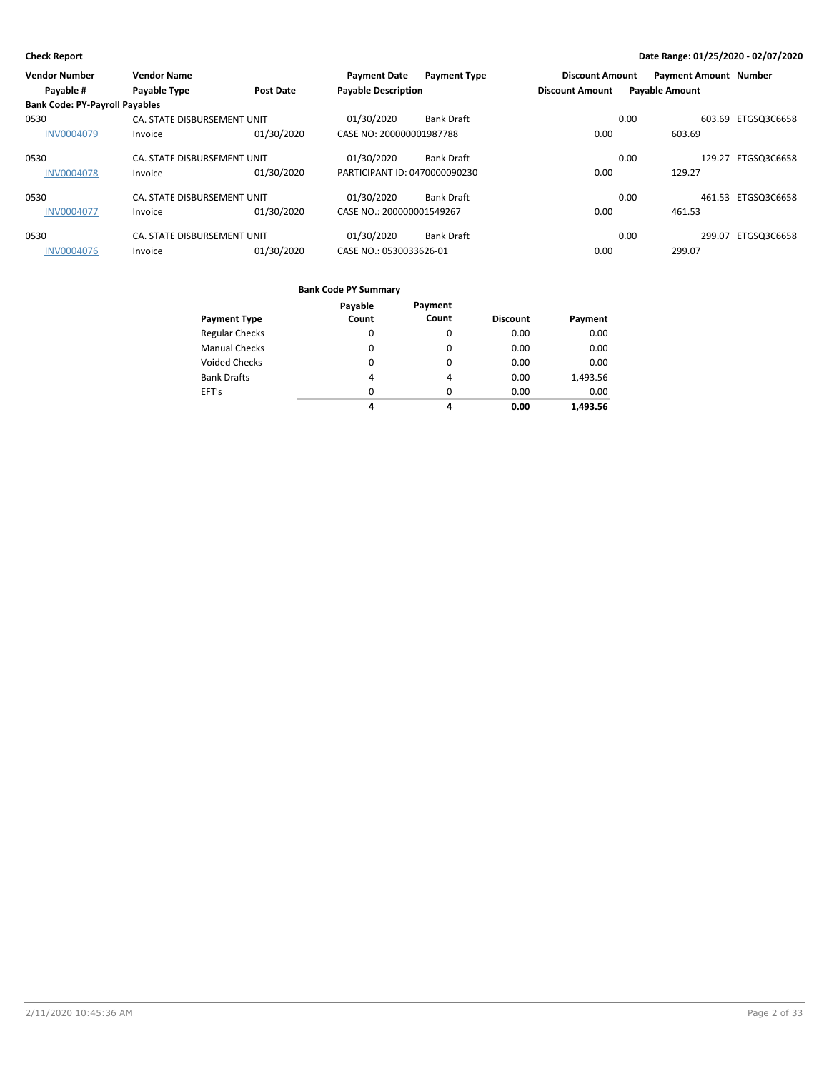| <b>Vendor Number</b>                  | <b>Vendor Name</b>          |                  | <b>Payment Date</b>           | <b>Payment Type</b> | <b>Discount Amount</b> |      | <b>Payment Amount Number</b> |                    |
|---------------------------------------|-----------------------------|------------------|-------------------------------|---------------------|------------------------|------|------------------------------|--------------------|
| Payable #                             | <b>Payable Type</b>         | <b>Post Date</b> | <b>Payable Description</b>    |                     | <b>Discount Amount</b> |      | <b>Payable Amount</b>        |                    |
| <b>Bank Code: PY-Payroll Payables</b> |                             |                  |                               |                     |                        |      |                              |                    |
| 0530                                  | CA. STATE DISBURSEMENT UNIT |                  | 01/30/2020                    | <b>Bank Draft</b>   |                        | 0.00 |                              | 603.69 ETGSQ3C6658 |
| <b>INV0004079</b>                     | Invoice                     | 01/30/2020       | CASE NO: 200000001987788      |                     | 0.00                   |      | 603.69                       |                    |
| 0530                                  | CA. STATE DISBURSEMENT UNIT |                  | 01/30/2020                    | <b>Bank Draft</b>   |                        | 0.00 | 129.27                       | ETGSQ3C6658        |
| <b>INV0004078</b>                     | Invoice                     | 01/30/2020       | PARTICIPANT ID: 0470000090230 |                     | 0.00                   |      | 129.27                       |                    |
| 0530                                  | CA. STATE DISBURSEMENT UNIT |                  | 01/30/2020                    | <b>Bank Draft</b>   |                        | 0.00 |                              | 461.53 ETGSQ3C6658 |
| <b>INV0004077</b>                     | Invoice                     | 01/30/2020       | CASE NO.: 200000001549267     |                     | 0.00                   |      | 461.53                       |                    |
| 0530                                  | CA. STATE DISBURSEMENT UNIT |                  | 01/30/2020                    | <b>Bank Draft</b>   |                        | 0.00 | 299.07                       | ETGSQ3C6658        |
| <b>INV0004076</b>                     | Invoice                     | 01/30/2020       | CASE NO.: 0530033626-01       |                     | 0.00                   |      | 299.07                       |                    |

|                       | Payable  | Payment  |                 |          |
|-----------------------|----------|----------|-----------------|----------|
| <b>Payment Type</b>   | Count    | Count    | <b>Discount</b> | Payment  |
| <b>Regular Checks</b> | 0        | $\Omega$ | 0.00            | 0.00     |
| <b>Manual Checks</b>  | 0        | 0        | 0.00            | 0.00     |
| Voided Checks         | 0        | $\Omega$ | 0.00            | 0.00     |
| <b>Bank Drafts</b>    | 4        | 4        | 0.00            | 1,493.56 |
| EFT's                 | $\Omega$ | $\Omega$ | 0.00            | 0.00     |
|                       | 4        | 4        | 0.00            | 1.493.56 |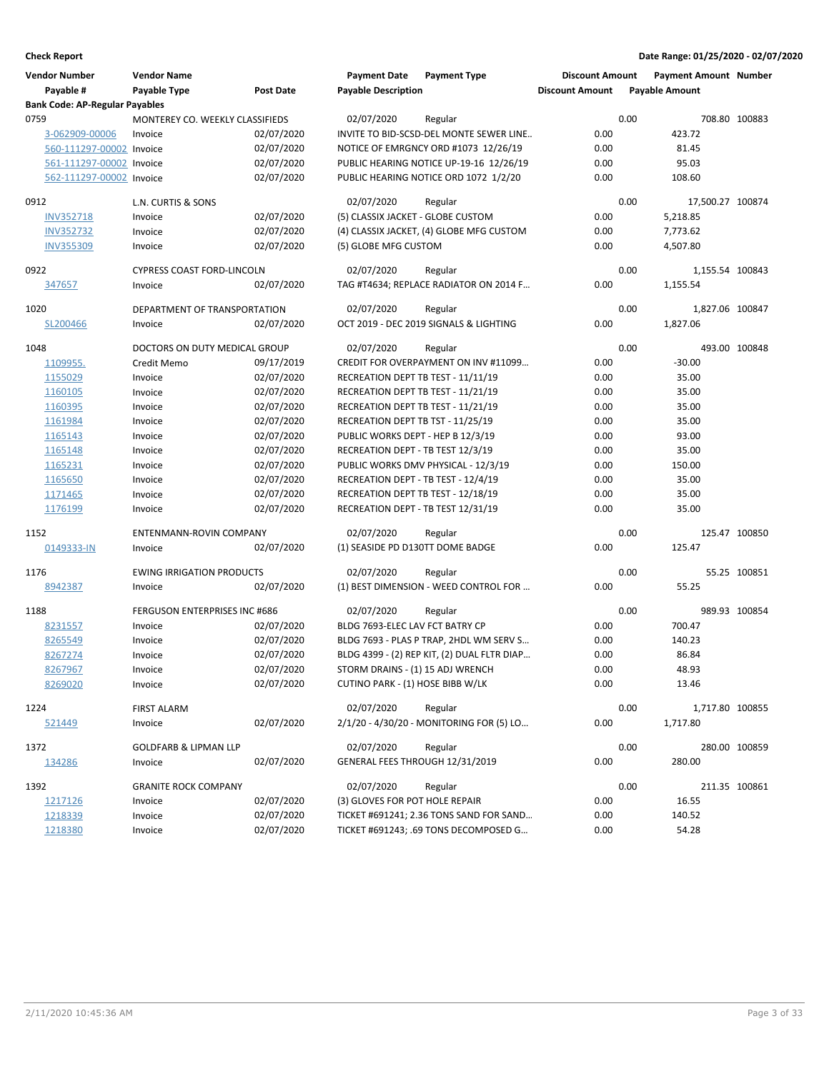| <b>Vendor Number</b>                  | <b>Vendor Name</b>                |                  | <b>Payment Date</b>                 | <b>Payment Type</b>                         | <b>Discount Amount</b> |      | <b>Payment Amount Number</b> |               |
|---------------------------------------|-----------------------------------|------------------|-------------------------------------|---------------------------------------------|------------------------|------|------------------------------|---------------|
| Payable #                             | Payable Type                      | <b>Post Date</b> | <b>Payable Description</b>          |                                             | <b>Discount Amount</b> |      | <b>Payable Amount</b>        |               |
| <b>Bank Code: AP-Regular Payables</b> |                                   |                  |                                     |                                             |                        |      |                              |               |
| 0759                                  | MONTEREY CO. WEEKLY CLASSIFIEDS   |                  | 02/07/2020                          | Regular                                     |                        | 0.00 |                              | 708.80 100883 |
| 3-062909-00006                        | Invoice                           | 02/07/2020       |                                     | INVITE TO BID-SCSD-DEL MONTE SEWER LINE     | 0.00                   |      | 423.72                       |               |
| 560-111297-00002 Invoice              |                                   | 02/07/2020       |                                     | NOTICE OF EMRGNCY ORD #1073 12/26/19        | 0.00                   |      | 81.45                        |               |
| 561-111297-00002 Invoice              |                                   | 02/07/2020       |                                     | PUBLIC HEARING NOTICE UP-19-16 12/26/19     | 0.00                   |      | 95.03                        |               |
| 562-111297-00002 Invoice              |                                   | 02/07/2020       |                                     | PUBLIC HEARING NOTICE ORD 1072 1/2/20       | 0.00                   |      | 108.60                       |               |
| 0912                                  | L.N. CURTIS & SONS                |                  | 02/07/2020                          | Regular                                     |                        | 0.00 | 17,500.27 100874             |               |
| <b>INV352718</b>                      | Invoice                           | 02/07/2020       | (5) CLASSIX JACKET - GLOBE CUSTOM   |                                             | 0.00                   |      | 5,218.85                     |               |
| <b>INV352732</b>                      | Invoice                           | 02/07/2020       |                                     | (4) CLASSIX JACKET, (4) GLOBE MFG CUSTOM    | 0.00                   |      | 7,773.62                     |               |
| <b>INV355309</b>                      | Invoice                           | 02/07/2020       | (5) GLOBE MFG CUSTOM                |                                             | 0.00                   |      | 4,507.80                     |               |
| 0922                                  | <b>CYPRESS COAST FORD-LINCOLN</b> |                  | 02/07/2020                          | Regular                                     |                        | 0.00 | 1,155.54 100843              |               |
| 347657                                | Invoice                           | 02/07/2020       |                                     | TAG #T4634; REPLACE RADIATOR ON 2014 F      | 0.00                   |      | 1,155.54                     |               |
| 1020                                  | DEPARTMENT OF TRANSPORTATION      |                  | 02/07/2020                          | Regular                                     |                        | 0.00 | 1,827.06 100847              |               |
| SL200466                              | Invoice                           | 02/07/2020       |                                     | OCT 2019 - DEC 2019 SIGNALS & LIGHTING      | 0.00                   |      | 1,827.06                     |               |
| 1048                                  | DOCTORS ON DUTY MEDICAL GROUP     |                  | 02/07/2020                          | Regular                                     |                        | 0.00 |                              | 493.00 100848 |
| 1109955.                              | Credit Memo                       | 09/17/2019       |                                     | CREDIT FOR OVERPAYMENT ON INV #11099        | 0.00                   |      | $-30.00$                     |               |
| 1155029                               | Invoice                           | 02/07/2020       | RECREATION DEPT TB TEST - 11/11/19  |                                             | 0.00                   |      | 35.00                        |               |
| 1160105                               | Invoice                           | 02/07/2020       | RECREATION DEPT TB TEST - 11/21/19  |                                             | 0.00                   |      | 35.00                        |               |
| 1160395                               | Invoice                           | 02/07/2020       | RECREATION DEPT TB TEST - 11/21/19  |                                             | 0.00                   |      | 35.00                        |               |
| 1161984                               | Invoice                           | 02/07/2020       | RECREATION DEPT TB TST - 11/25/19   |                                             | 0.00                   |      | 35.00                        |               |
| 1165143                               | Invoice                           | 02/07/2020       | PUBLIC WORKS DEPT - HEP B 12/3/19   |                                             | 0.00                   |      | 93.00                        |               |
| 1165148                               | Invoice                           | 02/07/2020       | RECREATION DEPT - TB TEST 12/3/19   |                                             | 0.00                   |      | 35.00                        |               |
| 1165231                               | Invoice                           | 02/07/2020       |                                     | PUBLIC WORKS DMV PHYSICAL - 12/3/19         | 0.00                   |      | 150.00                       |               |
| 1165650                               | Invoice                           | 02/07/2020       | RECREATION DEPT - TB TEST - 12/4/19 |                                             | 0.00                   |      | 35.00                        |               |
| 1171465                               | Invoice                           | 02/07/2020       | RECREATION DEPT TB TEST - 12/18/19  |                                             | 0.00                   |      | 35.00                        |               |
| 1176199                               | Invoice                           | 02/07/2020       | RECREATION DEPT - TB TEST 12/31/19  |                                             | 0.00                   |      | 35.00                        |               |
| 1152                                  | ENTENMANN-ROVIN COMPANY           |                  | 02/07/2020                          | Regular                                     |                        | 0.00 |                              | 125.47 100850 |
| 0149333-IN                            | Invoice                           | 02/07/2020       | (1) SEASIDE PD D130TT DOME BADGE    |                                             | 0.00                   |      | 125.47                       |               |
| 1176                                  | <b>EWING IRRIGATION PRODUCTS</b>  |                  | 02/07/2020                          | Regular                                     |                        | 0.00 |                              | 55.25 100851  |
| 8942387                               | Invoice                           | 02/07/2020       |                                     | (1) BEST DIMENSION - WEED CONTROL FOR       | 0.00                   |      | 55.25                        |               |
| 1188                                  | FERGUSON ENTERPRISES INC #686     |                  | 02/07/2020                          | Regular                                     |                        | 0.00 |                              | 989.93 100854 |
| 8231557                               | Invoice                           | 02/07/2020       | BLDG 7693-ELEC LAV FCT BATRY CP     |                                             | 0.00                   |      | 700.47                       |               |
| 8265549                               | Invoice                           | 02/07/2020       |                                     | BLDG 7693 - PLAS P TRAP, 2HDL WM SERV S     | 0.00                   |      | 140.23                       |               |
| 8267274                               | Invoice                           | 02/07/2020       |                                     | BLDG 4399 - (2) REP KIT, (2) DUAL FLTR DIAP | 0.00                   |      | 86.84                        |               |
| 8267967                               | Invoice                           | 02/07/2020       | STORM DRAINS - (1) 15 ADJ WRENCH    |                                             | 0.00                   |      | 48.93                        |               |
| 8269020                               | Invoice                           | 02/07/2020       | CUTINO PARK - (1) HOSE BIBB W/LK    |                                             | 0.00                   |      | 13.46                        |               |
| 1224                                  | <b>FIRST ALARM</b>                |                  | 02/07/2020                          | Regular                                     |                        | 0.00 | 1,717.80 100855              |               |
| 521449                                | Invoice                           | 02/07/2020       |                                     | 2/1/20 - 4/30/20 - MONITORING FOR (5) LO    | 0.00                   |      | 1,717.80                     |               |
| 1372                                  | <b>GOLDFARB &amp; LIPMAN LLP</b>  |                  | 02/07/2020                          | Regular                                     |                        | 0.00 |                              | 280.00 100859 |
| 134286                                | Invoice                           | 02/07/2020       | GENERAL FEES THROUGH 12/31/2019     |                                             | 0.00                   |      | 280.00                       |               |
| 1392                                  | <b>GRANITE ROCK COMPANY</b>       |                  | 02/07/2020                          | Regular                                     |                        | 0.00 |                              | 211.35 100861 |
| 1217126                               | Invoice                           | 02/07/2020       | (3) GLOVES FOR POT HOLE REPAIR      |                                             | 0.00                   |      | 16.55                        |               |
| 1218339                               | Invoice                           | 02/07/2020       |                                     | TICKET #691241; 2.36 TONS SAND FOR SAND     | 0.00                   |      | 140.52                       |               |
| 1218380                               | Invoice                           | 02/07/2020       |                                     | TICKET #691243; .69 TONS DECOMPOSED G       | 0.00                   |      | 54.28                        |               |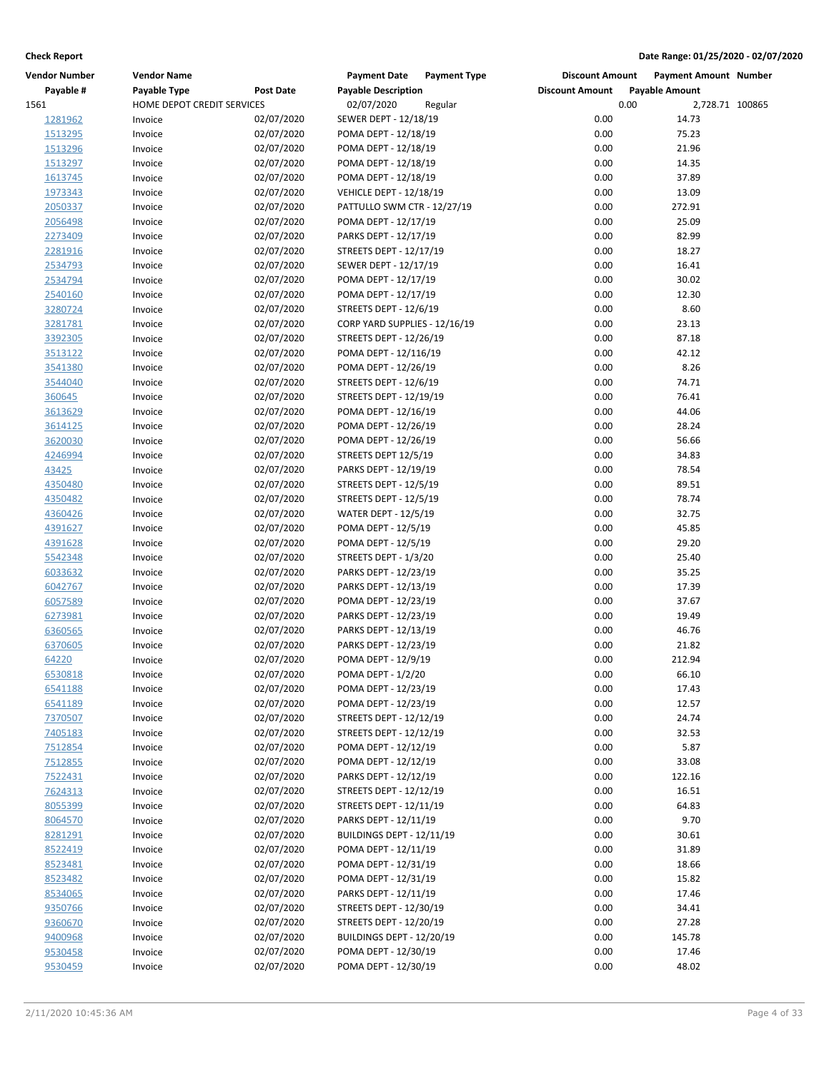| <b>Vendor Number</b> | <b>Vendor Name</b>         |                  | <b>Payment Date</b><br><b>Payment Type</b> | <b>Discount Amount</b> | Payment Amount Number |  |
|----------------------|----------------------------|------------------|--------------------------------------------|------------------------|-----------------------|--|
| Payable #            | Payable Type               | <b>Post Date</b> | <b>Payable Description</b>                 | <b>Discount Amount</b> | <b>Payable Amount</b> |  |
| 1561                 | HOME DEPOT CREDIT SERVICES |                  | 02/07/2020<br>Regular                      | 0.00                   | 2,728.71 100865       |  |
| 1281962              | Invoice                    | 02/07/2020       | SEWER DEPT - 12/18/19                      | 0.00                   | 14.73                 |  |
| 1513295              | Invoice                    | 02/07/2020       | POMA DEPT - 12/18/19                       | 0.00                   | 75.23                 |  |
| 1513296              | Invoice                    | 02/07/2020       | POMA DEPT - 12/18/19                       | 0.00                   | 21.96                 |  |
| 1513297              | Invoice                    | 02/07/2020       | POMA DEPT - 12/18/19                       | 0.00                   | 14.35                 |  |
| 1613745              | Invoice                    | 02/07/2020       | POMA DEPT - 12/18/19                       | 0.00                   | 37.89                 |  |
| 1973343              | Invoice                    | 02/07/2020       | <b>VEHICLE DEPT - 12/18/19</b>             | 0.00                   | 13.09                 |  |
| 2050337              | Invoice                    | 02/07/2020       | PATTULLO SWM CTR - 12/27/19                | 0.00                   | 272.91                |  |
| 2056498              | Invoice                    | 02/07/2020       | POMA DEPT - 12/17/19                       | 0.00                   | 25.09                 |  |
| 2273409              | Invoice                    | 02/07/2020       | PARKS DEPT - 12/17/19                      | 0.00                   | 82.99                 |  |
| 2281916              | Invoice                    | 02/07/2020       | STREETS DEPT - 12/17/19                    | 0.00                   | 18.27                 |  |
| 2534793              | Invoice                    | 02/07/2020       | SEWER DEPT - 12/17/19                      | 0.00                   | 16.41                 |  |
| 2534794              | Invoice                    | 02/07/2020       | POMA DEPT - 12/17/19                       | 0.00                   | 30.02                 |  |
| 2540160              | Invoice                    | 02/07/2020       | POMA DEPT - 12/17/19                       | 0.00                   | 12.30                 |  |
| 3280724              | Invoice                    | 02/07/2020       | STREETS DEPT - 12/6/19                     | 0.00                   | 8.60                  |  |
| 3281781              | Invoice                    | 02/07/2020       | CORP YARD SUPPLIES - 12/16/19              | 0.00                   | 23.13                 |  |
| 3392305              | Invoice                    | 02/07/2020       | STREETS DEPT - 12/26/19                    | 0.00                   | 87.18                 |  |
| 3513122              | Invoice                    | 02/07/2020       | POMA DEPT - 12/116/19                      | 0.00                   | 42.12                 |  |
| 3541380              | Invoice                    | 02/07/2020       | POMA DEPT - 12/26/19                       | 0.00                   | 8.26                  |  |
| 3544040              | Invoice                    | 02/07/2020       | STREETS DEPT - 12/6/19                     | 0.00                   | 74.71                 |  |
| 360645               | Invoice                    | 02/07/2020       | STREETS DEPT - 12/19/19                    | 0.00                   | 76.41                 |  |
| 3613629              | Invoice                    | 02/07/2020       | POMA DEPT - 12/16/19                       | 0.00                   | 44.06                 |  |
| 3614125              | Invoice                    | 02/07/2020       | POMA DEPT - 12/26/19                       | 0.00                   | 28.24                 |  |
| 3620030              | Invoice                    | 02/07/2020       | POMA DEPT - 12/26/19                       | 0.00                   | 56.66                 |  |
| 4246994              | Invoice                    | 02/07/2020       | STREETS DEPT 12/5/19                       | 0.00                   | 34.83                 |  |
|                      |                            | 02/07/2020       | PARKS DEPT - 12/19/19                      | 0.00                   | 78.54                 |  |
| 43425                | Invoice                    |                  |                                            |                        |                       |  |
| 4350480              | Invoice                    | 02/07/2020       | STREETS DEPT - 12/5/19                     | 0.00                   | 89.51                 |  |
| 4350482              | Invoice                    | 02/07/2020       | STREETS DEPT - 12/5/19                     | 0.00                   | 78.74                 |  |
| 4360426              | Invoice                    | 02/07/2020       | <b>WATER DEPT - 12/5/19</b>                | 0.00                   | 32.75                 |  |
| 4391627              | Invoice                    | 02/07/2020       | POMA DEPT - 12/5/19                        | 0.00                   | 45.85                 |  |
| 4391628              | Invoice                    | 02/07/2020       | POMA DEPT - 12/5/19                        | 0.00                   | 29.20                 |  |
| 5542348              | Invoice                    | 02/07/2020       | STREETS DEPT - 1/3/20                      | 0.00                   | 25.40                 |  |
| 6033632              | Invoice                    | 02/07/2020       | PARKS DEPT - 12/23/19                      | 0.00                   | 35.25                 |  |
| 6042767              | Invoice                    | 02/07/2020       | PARKS DEPT - 12/13/19                      | 0.00                   | 17.39                 |  |
| 6057589              | Invoice                    | 02/07/2020       | POMA DEPT - 12/23/19                       | 0.00                   | 37.67                 |  |
| 6273981              | Invoice                    | 02/07/2020       | PARKS DEPT - 12/23/19                      | 0.00                   | 19.49                 |  |
| 6360565              | Invoice                    | 02/07/2020       | PARKS DEPT - 12/13/19                      | 0.00                   | 46.76                 |  |
| 6370605              | Invoice                    | 02/07/2020       | PARKS DEPT - 12/23/19                      | 0.00                   | 21.82                 |  |
| 64220                | Invoice                    | 02/07/2020       | POMA DEPT - 12/9/19                        | 0.00                   | 212.94                |  |
| 6530818              | Invoice                    | 02/07/2020       | POMA DEPT - 1/2/20                         | 0.00                   | 66.10                 |  |
| 6541188              | Invoice                    | 02/07/2020       | POMA DEPT - 12/23/19                       | 0.00                   | 17.43                 |  |
| 6541189              | Invoice                    | 02/07/2020       | POMA DEPT - 12/23/19                       | 0.00                   | 12.57                 |  |
| 7370507              | Invoice                    | 02/07/2020       | STREETS DEPT - 12/12/19                    | 0.00                   | 24.74                 |  |
| 7405183              | Invoice                    | 02/07/2020       | STREETS DEPT - 12/12/19                    | 0.00                   | 32.53                 |  |
| 7512854              | Invoice                    | 02/07/2020       | POMA DEPT - 12/12/19                       | 0.00                   | 5.87                  |  |
| 7512855              | Invoice                    | 02/07/2020       | POMA DEPT - 12/12/19                       | 0.00                   | 33.08                 |  |
| 7522431              | Invoice                    | 02/07/2020       | PARKS DEPT - 12/12/19                      | 0.00                   | 122.16                |  |
| 7624313              | Invoice                    | 02/07/2020       | STREETS DEPT - 12/12/19                    | 0.00                   | 16.51                 |  |
| 8055399              | Invoice                    | 02/07/2020       | STREETS DEPT - 12/11/19                    | 0.00                   | 64.83                 |  |
| 8064570              | Invoice                    | 02/07/2020       | PARKS DEPT - 12/11/19                      | 0.00                   | 9.70                  |  |
| 8281291              | Invoice                    | 02/07/2020       | BUILDINGS DEPT - 12/11/19                  | 0.00                   | 30.61                 |  |
| 8522419              | Invoice                    | 02/07/2020       | POMA DEPT - 12/11/19                       | 0.00                   | 31.89                 |  |
| 8523481              | Invoice                    | 02/07/2020       | POMA DEPT - 12/31/19                       | 0.00                   | 18.66                 |  |
| 8523482              | Invoice                    | 02/07/2020       | POMA DEPT - 12/31/19                       | 0.00                   | 15.82                 |  |
| 8534065              | Invoice                    | 02/07/2020       | PARKS DEPT - 12/11/19                      | 0.00                   | 17.46                 |  |
| 9350766              | Invoice                    | 02/07/2020       | STREETS DEPT - 12/30/19                    | 0.00                   | 34.41                 |  |
| 9360670              | Invoice                    | 02/07/2020       | STREETS DEPT - 12/20/19                    | 0.00                   | 27.28                 |  |
| 9400968              | Invoice                    | 02/07/2020       | BUILDINGS DEPT - 12/20/19                  | 0.00                   | 145.78                |  |
| 9530458              | Invoice                    | 02/07/2020       | POMA DEPT - 12/30/19                       | 0.00                   | 17.46                 |  |
| 9530459              | Invoice                    | 02/07/2020       | POMA DEPT - 12/30/19                       | 0.00                   | 48.02                 |  |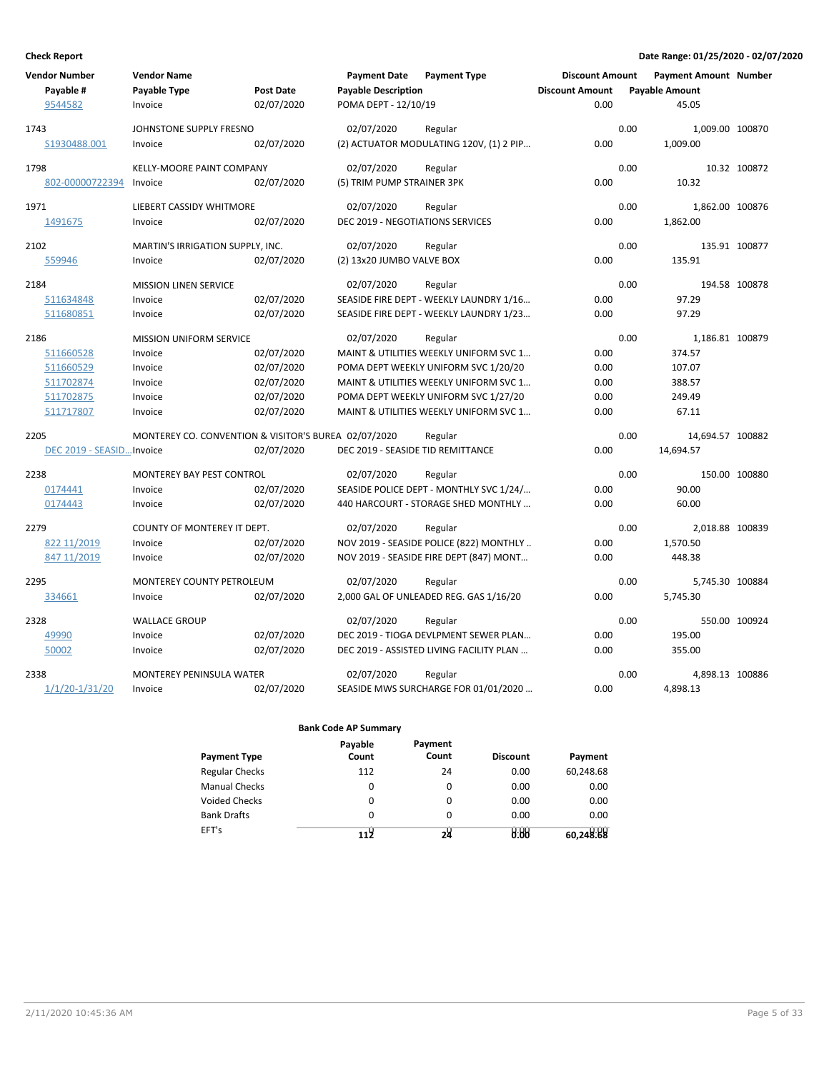| <b>Vendor Number</b>      | <b>Vendor Name</b>                                   |                  | <b>Payment Date</b>               | <b>Payment Type</b>                      | <b>Discount Amount</b> |      | Payment Amount Number |               |
|---------------------------|------------------------------------------------------|------------------|-----------------------------------|------------------------------------------|------------------------|------|-----------------------|---------------|
| Payable #                 | Payable Type                                         | <b>Post Date</b> | <b>Payable Description</b>        |                                          | <b>Discount Amount</b> |      | <b>Payable Amount</b> |               |
| 9544582                   | Invoice                                              | 02/07/2020       | POMA DEPT - 12/10/19              |                                          | 0.00                   |      | 45.05                 |               |
| 1743                      | JOHNSTONE SUPPLY FRESNO                              |                  | 02/07/2020                        | Regular                                  |                        | 0.00 | 1,009.00 100870       |               |
| S1930488.001              | Invoice                                              | 02/07/2020       |                                   | (2) ACTUATOR MODULATING 120V, (1) 2 PIP  | 0.00                   |      | 1,009.00              |               |
| 1798                      | KELLY-MOORE PAINT COMPANY                            |                  | 02/07/2020                        | Regular                                  |                        | 0.00 |                       | 10.32 100872  |
| 802-00000722394           | Invoice                                              | 02/07/2020       | (5) TRIM PUMP STRAINER 3PK        |                                          | 0.00                   |      | 10.32                 |               |
| 1971                      | <b>LIEBERT CASSIDY WHITMORE</b>                      |                  | 02/07/2020                        | Regular                                  |                        | 0.00 | 1,862.00 100876       |               |
| 1491675                   | Invoice                                              | 02/07/2020       | DEC 2019 - NEGOTIATIONS SERVICES  |                                          | 0.00                   |      | 1,862.00              |               |
| 2102                      | MARTIN'S IRRIGATION SUPPLY, INC.                     |                  | 02/07/2020                        | Regular                                  |                        | 0.00 |                       | 135.91 100877 |
| 559946                    | Invoice                                              | 02/07/2020       | (2) 13x20 JUMBO VALVE BOX         |                                          | 0.00                   |      | 135.91                |               |
| 2184                      | <b>MISSION LINEN SERVICE</b>                         |                  | 02/07/2020                        | Regular                                  |                        | 0.00 |                       | 194.58 100878 |
| 511634848                 | Invoice                                              | 02/07/2020       |                                   | SEASIDE FIRE DEPT - WEEKLY LAUNDRY 1/16  | 0.00                   |      | 97.29                 |               |
| 511680851                 | Invoice                                              | 02/07/2020       |                                   | SEASIDE FIRE DEPT - WEEKLY LAUNDRY 1/23  | 0.00                   |      | 97.29                 |               |
| 2186                      | <b>MISSION UNIFORM SERVICE</b>                       |                  | 02/07/2020                        | Regular                                  |                        | 0.00 | 1,186.81 100879       |               |
| 511660528                 | Invoice                                              | 02/07/2020       |                                   | MAINT & UTILITIES WEEKLY UNIFORM SVC 1   | 0.00                   |      | 374.57                |               |
| 511660529                 | Invoice                                              | 02/07/2020       |                                   | POMA DEPT WEEKLY UNIFORM SVC 1/20/20     | 0.00                   |      | 107.07                |               |
| 511702874                 | Invoice                                              | 02/07/2020       |                                   | MAINT & UTILITIES WEEKLY UNIFORM SVC 1   | 0.00                   |      | 388.57                |               |
| 511702875                 | Invoice                                              | 02/07/2020       |                                   | POMA DEPT WEEKLY UNIFORM SVC 1/27/20     | 0.00                   |      | 249.49                |               |
| 511717807                 | Invoice                                              | 02/07/2020       |                                   | MAINT & UTILITIES WEEKLY UNIFORM SVC 1   | 0.00                   |      | 67.11                 |               |
| 2205                      | MONTEREY CO. CONVENTION & VISITOR'S BUREA 02/07/2020 |                  |                                   | Regular                                  |                        | 0.00 | 14,694.57 100882      |               |
| DEC 2019 - SEASID Invoice |                                                      | 02/07/2020       | DEC 2019 - SEASIDE TID REMITTANCE |                                          | 0.00                   |      | 14,694.57             |               |
| 2238                      | <b>MONTEREY BAY PEST CONTROL</b>                     |                  | 02/07/2020                        | Regular                                  |                        | 0.00 |                       | 150.00 100880 |
| 0174441                   | Invoice                                              | 02/07/2020       |                                   | SEASIDE POLICE DEPT - MONTHLY SVC 1/24/  | 0.00                   |      | 90.00                 |               |
| 0174443                   | Invoice                                              | 02/07/2020       |                                   | 440 HARCOURT - STORAGE SHED MONTHLY      | 0.00                   |      | 60.00                 |               |
| 2279                      | COUNTY OF MONTEREY IT DEPT.                          |                  | 02/07/2020                        | Regular                                  |                        | 0.00 | 2,018.88 100839       |               |
| 822 11/2019               | Invoice                                              | 02/07/2020       |                                   | NOV 2019 - SEASIDE POLICE (822) MONTHLY  | 0.00                   |      | 1,570.50              |               |
| 847 11/2019               | Invoice                                              | 02/07/2020       |                                   | NOV 2019 - SEASIDE FIRE DEPT (847) MONT  | 0.00                   |      | 448.38                |               |
| 2295                      | <b>MONTEREY COUNTY PETROLEUM</b>                     |                  | 02/07/2020                        | Regular                                  |                        | 0.00 | 5.745.30 100884       |               |
| 334661                    | Invoice                                              | 02/07/2020       |                                   | 2,000 GAL OF UNLEADED REG. GAS 1/16/20   | 0.00                   |      | 5,745.30              |               |
| 2328                      | <b>WALLACE GROUP</b>                                 |                  | 02/07/2020                        | Regular                                  |                        | 0.00 |                       | 550.00 100924 |
| 49990                     | Invoice                                              | 02/07/2020       |                                   | DEC 2019 - TIOGA DEVLPMENT SEWER PLAN    | 0.00                   |      | 195.00                |               |
| 50002                     | Invoice                                              | 02/07/2020       |                                   | DEC 2019 - ASSISTED LIVING FACILITY PLAN | 0.00                   |      | 355.00                |               |
| 2338                      | <b>MONTEREY PENINSULA WATER</b>                      |                  | 02/07/2020                        | Regular                                  |                        | 0.00 | 4,898.13 100886       |               |
| $1/1/20 - 1/31/20$        | Invoice                                              | 02/07/2020       |                                   | SEASIDE MWS SURCHARGE FOR 01/01/2020     | 0.00                   |      | 4,898.13              |               |

| <b>Payment Type</b>   | Payable<br>Count | Payment<br>Count | <b>Discount</b> | Payment   |
|-----------------------|------------------|------------------|-----------------|-----------|
| <b>Regular Checks</b> | 112              | 24               | 0.00            | 60,248.68 |
| <b>Manual Checks</b>  | $\Omega$         | 0                | 0.00            | 0.00      |
| <b>Voided Checks</b>  | 0                | 0                | 0.00            | 0.00      |
| <b>Bank Drafts</b>    | 0                | 0                | 0.00            | 0.00      |
| EFT's                 | ا 11             | 58               | 0.00            | 60,248.88 |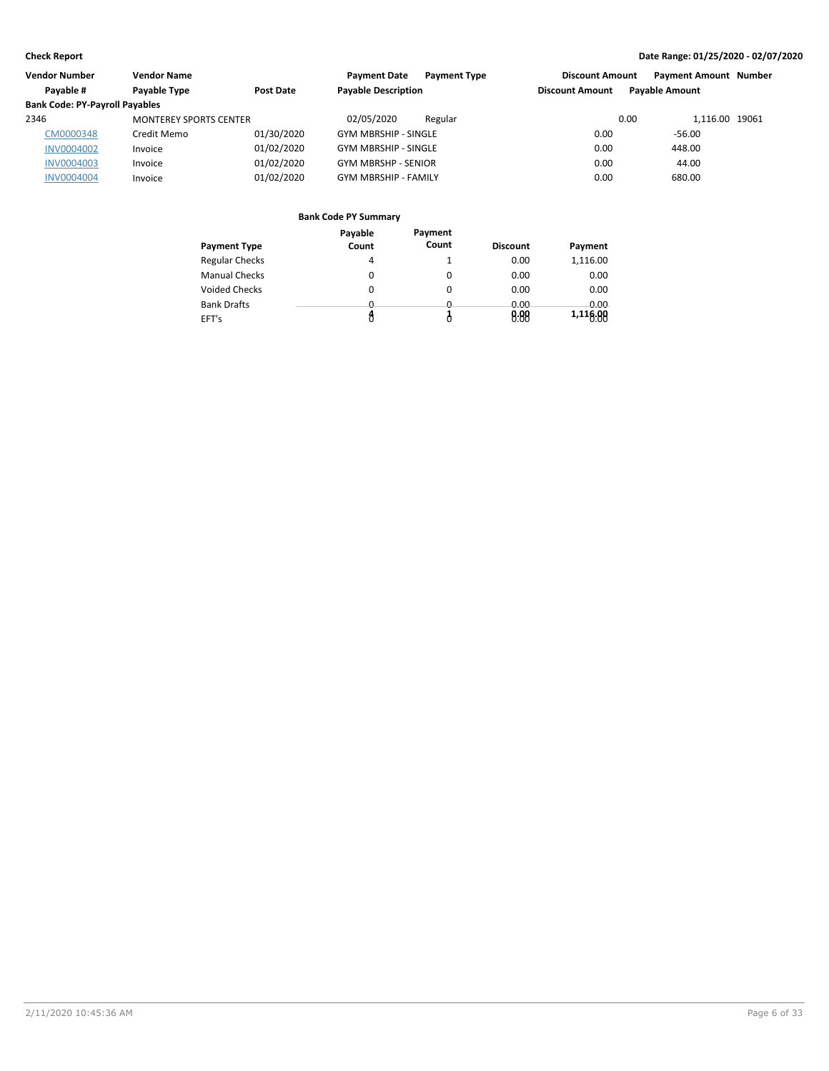| Vendor Number                         | <b>Vendor Name</b>            |            | <b>Payment Date</b><br><b>Payment Type</b> | <b>Discount Amount</b> | <b>Payment Amount Number</b> |  |
|---------------------------------------|-------------------------------|------------|--------------------------------------------|------------------------|------------------------------|--|
| Pavable #                             | Payable Type                  | Post Date  | <b>Payable Description</b>                 | <b>Discount Amount</b> | <b>Payable Amount</b>        |  |
| <b>Bank Code: PY-Payroll Payables</b> |                               |            |                                            |                        |                              |  |
| 2346                                  | <b>MONTEREY SPORTS CENTER</b> |            | 02/05/2020<br>Regular                      | 0.00                   | 1.116.00 19061               |  |
| CM0000348                             | Credit Memo                   | 01/30/2020 | <b>GYM MBRSHIP - SINGLE</b>                | 0.00                   | $-56.00$                     |  |
| <b>INV0004002</b>                     | Invoice                       | 01/02/2020 | <b>GYM MBRSHIP - SINGLE</b>                | 0.00                   | 448.00                       |  |
| <b>INV0004003</b>                     | Invoice                       | 01/02/2020 | <b>GYM MBRSHP - SENIOR</b>                 | 0.00                   | 44.00                        |  |
| <b>INV0004004</b>                     | Invoice                       | 01/02/2020 | <b>GYM MBRSHIP - FAMILY</b>                | 0.00                   | 680.00                       |  |

|                       | Payable  | Payment  |                 |          |
|-----------------------|----------|----------|-----------------|----------|
| <b>Payment Type</b>   | Count    | Count    | <b>Discount</b> | Payment  |
| <b>Regular Checks</b> | 4        |          | 0.00            | 1,116.00 |
| <b>Manual Checks</b>  | 0        | 0        | 0.00            | 0.00     |
| Voided Checks         | 0        | 0        | 0.00            | 0.00     |
| <b>Bank Drafts</b>    | <u>n</u> | <u>n</u> | 0.00            | 0.00     |
| EFT's                 |          |          | 0.88            | 1,116.00 |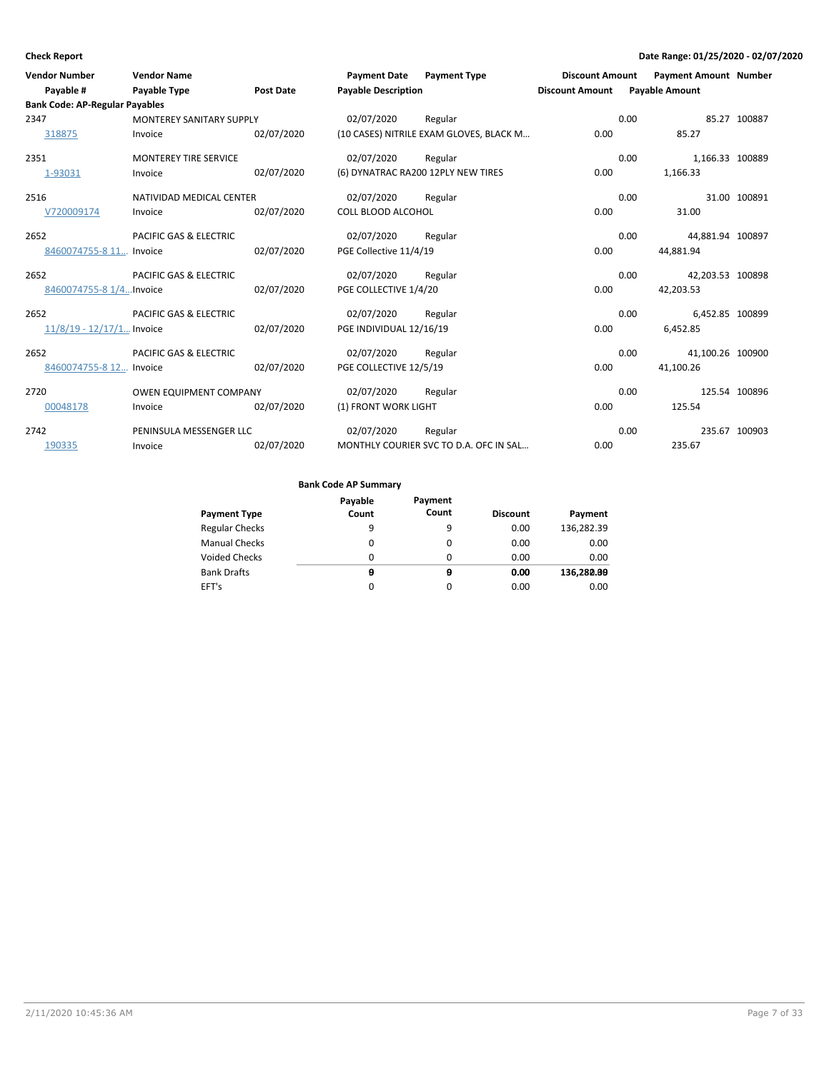| <b>Vendor Number</b><br>Payable #     | <b>Vendor Name</b><br>Payable Type | <b>Post Date</b> | <b>Payment Date</b><br><b>Payable Description</b> | <b>Payment Type</b>                     | <b>Discount Amount</b><br><b>Discount Amount</b> | <b>Payment Amount Number</b><br><b>Payable Amount</b> |               |
|---------------------------------------|------------------------------------|------------------|---------------------------------------------------|-----------------------------------------|--------------------------------------------------|-------------------------------------------------------|---------------|
| <b>Bank Code: AP-Regular Payables</b> |                                    |                  |                                                   |                                         |                                                  |                                                       |               |
| 2347                                  | <b>MONTEREY SANITARY SUPPLY</b>    |                  | 02/07/2020                                        | Regular                                 |                                                  | 0.00                                                  | 85.27 100887  |
| 318875                                | Invoice                            | 02/07/2020       |                                                   | (10 CASES) NITRILE EXAM GLOVES, BLACK M | 0.00                                             | 85.27                                                 |               |
| 2351                                  | <b>MONTEREY TIRE SERVICE</b>       |                  | 02/07/2020                                        | Regular                                 |                                                  | 0.00<br>1,166.33 100889                               |               |
| 1-93031                               | Invoice                            | 02/07/2020       |                                                   | (6) DYNATRAC RA200 12PLY NEW TIRES      | 0.00                                             | 1,166.33                                              |               |
| 2516                                  | NATIVIDAD MEDICAL CENTER           |                  | 02/07/2020                                        | Regular                                 |                                                  | 0.00                                                  | 31.00 100891  |
| V720009174                            | Invoice                            | 02/07/2020       | <b>COLL BLOOD ALCOHOL</b>                         |                                         | 0.00                                             | 31.00                                                 |               |
| 2652                                  | PACIFIC GAS & ELECTRIC             |                  | 02/07/2020                                        | Regular                                 |                                                  | 0.00<br>44,881.94 100897                              |               |
| 8460074755-8 11 Invoice               |                                    | 02/07/2020       | PGE Collective 11/4/19                            |                                         | 0.00                                             | 44,881.94                                             |               |
| 2652                                  | PACIFIC GAS & ELECTRIC             |                  | 02/07/2020                                        | Regular                                 |                                                  | 0.00<br>42,203.53 100898                              |               |
| 8460074755-8 1/4Invoice               |                                    | 02/07/2020       | PGE COLLECTIVE 1/4/20                             |                                         | 0.00                                             | 42,203.53                                             |               |
| 2652                                  | PACIFIC GAS & ELECTRIC             |                  | 02/07/2020                                        | Regular                                 |                                                  | 6,452.85 100899<br>0.00                               |               |
| $11/8/19 - 12/17/1$ Invoice           |                                    | 02/07/2020       | PGE INDIVIDUAL 12/16/19                           |                                         | 0.00                                             | 6,452.85                                              |               |
| 2652                                  | PACIFIC GAS & ELECTRIC             |                  | 02/07/2020                                        | Regular                                 |                                                  | 0.00<br>41,100.26 100900                              |               |
| 8460074755-8 12 Invoice               |                                    | 02/07/2020       | PGE COLLECTIVE 12/5/19                            |                                         | 0.00                                             | 41,100.26                                             |               |
| 2720                                  | <b>OWEN EQUIPMENT COMPANY</b>      |                  | 02/07/2020                                        | Regular                                 |                                                  | 0.00                                                  | 125.54 100896 |
| 00048178                              | Invoice                            | 02/07/2020       | (1) FRONT WORK LIGHT                              |                                         | 0.00                                             | 125.54                                                |               |
| 2742                                  | PENINSULA MESSENGER LLC            |                  | 02/07/2020                                        | Regular                                 |                                                  | 0.00                                                  | 235.67 100903 |
| 190335                                | Invoice                            | 02/07/2020       |                                                   | MONTHLY COURIER SVC TO D.A. OFC IN SAL  | 0.00                                             | 235.67                                                |               |

| <b>Payment Type</b>   | Payable<br>Count | Payment<br>Count | <b>Discount</b> | Payment    |
|-----------------------|------------------|------------------|-----------------|------------|
| <b>Regular Checks</b> | 9                | 9                | 0.00            | 136,282.39 |
| <b>Manual Checks</b>  | 0                | $\Omega$         | 0.00            | 0.00       |
| <b>Voided Checks</b>  | 0                | 0                | 0.00            | 0.00       |
| <b>Bank Drafts</b>    | θ                | θ                | 0.00            | 136,280.00 |
| EFT's                 | 0                | $\Omega$         | 0.00            | 0.00       |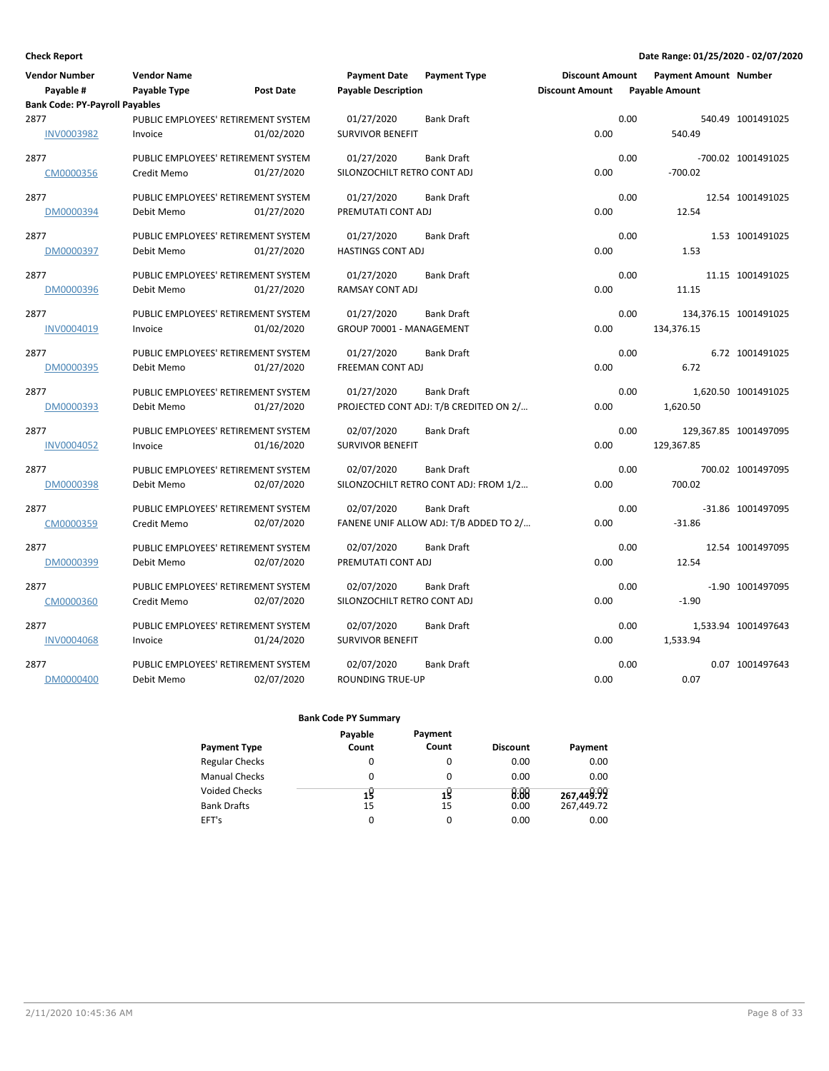| <b>Vendor Number</b>                  | <b>Vendor Name</b>                  |            | <b>Payment Date</b>         | <b>Payment Type</b>                    | <b>Discount Amount</b> |      | <b>Payment Amount Number</b> |                       |
|---------------------------------------|-------------------------------------|------------|-----------------------------|----------------------------------------|------------------------|------|------------------------------|-----------------------|
| Payable #                             | Payable Type                        | Post Date  | <b>Payable Description</b>  |                                        | <b>Discount Amount</b> |      | <b>Payable Amount</b>        |                       |
| <b>Bank Code: PY-Payroll Payables</b> |                                     |            |                             |                                        |                        |      |                              |                       |
| 2877                                  | PUBLIC EMPLOYEES' RETIREMENT SYSTEM |            | 01/27/2020                  | <b>Bank Draft</b>                      |                        | 0.00 |                              | 540.49 1001491025     |
| <b>INV0003982</b>                     | Invoice                             | 01/02/2020 | <b>SURVIVOR BENEFIT</b>     |                                        | 0.00                   |      | 540.49                       |                       |
| 2877                                  | PUBLIC EMPLOYEES' RETIREMENT SYSTEM |            | 01/27/2020                  | Bank Draft                             |                        | 0.00 |                              | -700.02 1001491025    |
| CM0000356                             | Credit Memo                         | 01/27/2020 | SILONZOCHILT RETRO CONT ADJ |                                        | 0.00                   |      | $-700.02$                    |                       |
| 2877                                  | PUBLIC EMPLOYEES' RETIREMENT SYSTEM |            | 01/27/2020                  | <b>Bank Draft</b>                      |                        | 0.00 |                              | 12.54 1001491025      |
| DM0000394                             | Debit Memo                          | 01/27/2020 | PREMUTATI CONT ADJ          |                                        | 0.00                   |      | 12.54                        |                       |
| 2877                                  | PUBLIC EMPLOYEES' RETIREMENT SYSTEM |            | 01/27/2020                  | <b>Bank Draft</b>                      |                        | 0.00 |                              | 1.53 1001491025       |
| DM0000397                             | Debit Memo                          | 01/27/2020 | <b>HASTINGS CONT ADJ</b>    |                                        | 0.00                   |      | 1.53                         |                       |
| 2877                                  | PUBLIC EMPLOYEES' RETIREMENT SYSTEM |            | 01/27/2020                  | <b>Bank Draft</b>                      |                        | 0.00 |                              | 11.15 1001491025      |
| DM0000396                             | Debit Memo                          | 01/27/2020 | RAMSAY CONT ADJ             |                                        | 0.00                   |      | 11.15                        |                       |
| 2877                                  | PUBLIC EMPLOYEES' RETIREMENT SYSTEM |            | 01/27/2020                  | <b>Bank Draft</b>                      |                        | 0.00 |                              | 134,376.15 1001491025 |
| INV0004019                            | Invoice                             | 01/02/2020 | GROUP 70001 - MANAGEMENT    |                                        | 0.00                   |      | 134,376.15                   |                       |
| 2877                                  | PUBLIC EMPLOYEES' RETIREMENT SYSTEM |            | 01/27/2020                  | <b>Bank Draft</b>                      |                        | 0.00 |                              | 6.72 1001491025       |
| DM0000395                             | Debit Memo                          | 01/27/2020 | FREEMAN CONT ADJ            |                                        | 0.00                   |      | 6.72                         |                       |
| 2877                                  | PUBLIC EMPLOYEES' RETIREMENT SYSTEM |            | 01/27/2020                  | <b>Bank Draft</b>                      |                        | 0.00 |                              | 1,620.50 1001491025   |
| DM0000393                             | Debit Memo                          | 01/27/2020 |                             | PROJECTED CONT ADJ: T/B CREDITED ON 2/ | 0.00                   |      | 1,620.50                     |                       |
| 2877                                  | PUBLIC EMPLOYEES' RETIREMENT SYSTEM |            | 02/07/2020                  | <b>Bank Draft</b>                      |                        | 0.00 |                              | 129,367.85 1001497095 |
| <b>INV0004052</b>                     | Invoice                             | 01/16/2020 | <b>SURVIVOR BENEFIT</b>     |                                        | 0.00                   |      | 129,367.85                   |                       |
| 2877                                  | PUBLIC EMPLOYEES' RETIREMENT SYSTEM |            | 02/07/2020                  | <b>Bank Draft</b>                      |                        | 0.00 |                              | 700.02 1001497095     |
| DM0000398                             | Debit Memo                          | 02/07/2020 |                             | SILONZOCHILT RETRO CONT ADJ: FROM 1/2  | 0.00                   |      | 700.02                       |                       |
| 2877                                  | PUBLIC EMPLOYEES' RETIREMENT SYSTEM |            | 02/07/2020                  | <b>Bank Draft</b>                      |                        | 0.00 |                              | -31.86 1001497095     |
| CM0000359                             | Credit Memo                         | 02/07/2020 |                             | FANENE UNIF ALLOW ADJ: T/B ADDED TO 2/ | 0.00                   |      | $-31.86$                     |                       |
| 2877                                  | PUBLIC EMPLOYEES' RETIREMENT SYSTEM |            | 02/07/2020                  | <b>Bank Draft</b>                      |                        | 0.00 |                              | 12.54 1001497095      |
| DM0000399                             | Debit Memo                          | 02/07/2020 | PREMUTATI CONT ADJ          |                                        | 0.00                   |      | 12.54                        |                       |
| 2877                                  | PUBLIC EMPLOYEES' RETIREMENT SYSTEM |            | 02/07/2020                  | <b>Bank Draft</b>                      |                        | 0.00 |                              | -1.90 1001497095      |
| CM0000360                             | Credit Memo                         | 02/07/2020 | SILONZOCHILT RETRO CONT ADJ |                                        | 0.00                   |      | $-1.90$                      |                       |
| 2877                                  | PUBLIC EMPLOYEES' RETIREMENT SYSTEM |            | 02/07/2020                  | <b>Bank Draft</b>                      |                        | 0.00 |                              | 1,533.94 1001497643   |
| <b>INV0004068</b>                     | Invoice                             | 01/24/2020 | <b>SURVIVOR BENEFIT</b>     |                                        | 0.00                   |      | 1,533.94                     |                       |
| 2877                                  | PUBLIC EMPLOYEES' RETIREMENT SYSTEM |            | 02/07/2020                  | <b>Bank Draft</b>                      |                        | 0.00 |                              | 0.07 1001497643       |
| DM0000400                             | Debit Memo                          | 02/07/2020 | ROUNDING TRUE-UP            |                                        | 0.00                   |      | 0.07                         |                       |

| Payable | Payment |                 |            |
|---------|---------|-----------------|------------|
| Count   | Count   | <b>Discount</b> | Payment    |
|         | 0       | 0.00            | 0.00       |
| 0       | 0       | 0.00            | 0.00       |
|         |         |                 | 267,449.92 |
| 15      | 15      | 0.00            | 267.449.72 |
|         | 0       | 0.00            | 0.00       |
|         | 15      | 15              | 8:88       |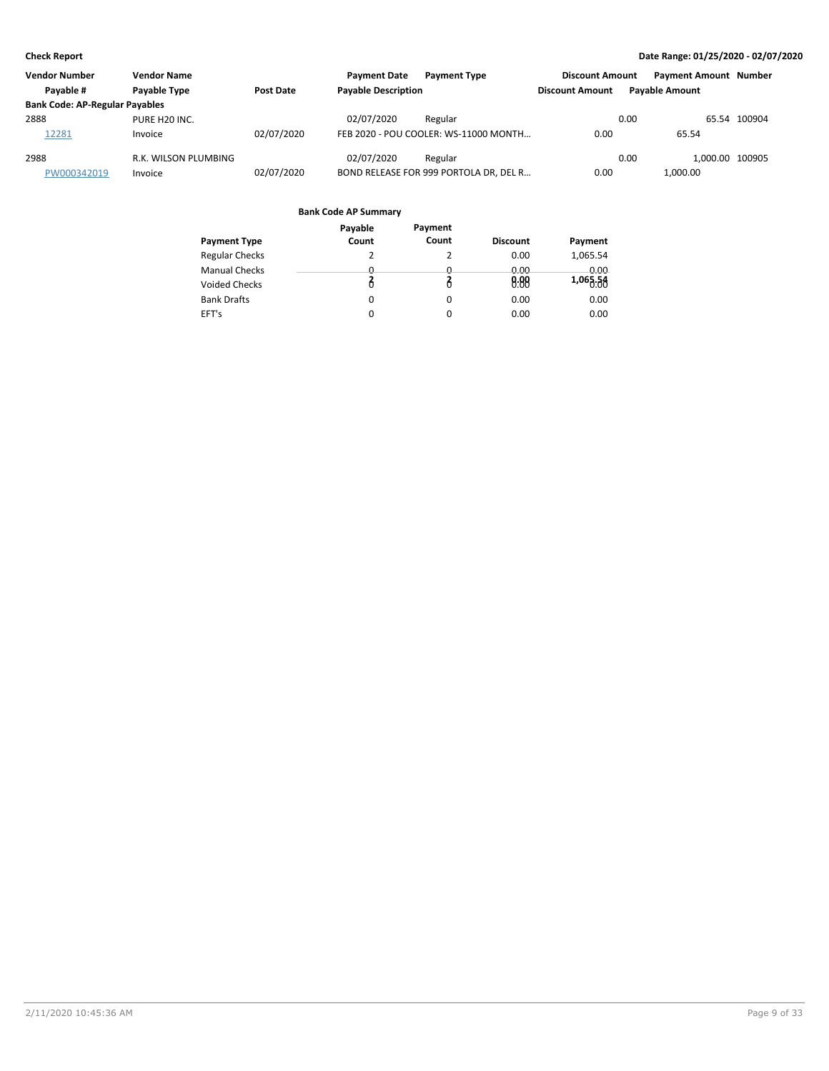| <b>Vendor Number</b>                  | <b>Vendor Name</b>   |            | <b>Payment Date</b>        | <b>Payment Type</b>                    | <b>Discount Amount</b> | <b>Payment Amount Number</b> |              |
|---------------------------------------|----------------------|------------|----------------------------|----------------------------------------|------------------------|------------------------------|--------------|
| Pavable #                             | <b>Pavable Type</b>  | Post Date  | <b>Payable Description</b> |                                        | <b>Discount Amount</b> | <b>Pavable Amount</b>        |              |
| <b>Bank Code: AP-Regular Payables</b> |                      |            |                            |                                        |                        |                              |              |
| 2888                                  | PURE H20 INC.        |            | 02/07/2020                 | Regular                                |                        | 0.00                         | 65.54 100904 |
| 12281                                 | Invoice              | 02/07/2020 |                            | FEB 2020 - POU COOLER: WS-11000 MONTH  | 0.00                   | 65.54                        |              |
| 2988                                  | R.K. WILSON PLUMBING |            | 02/07/2020                 | Regular                                |                        | 0.00<br>1.000.00 100905      |              |
| PW000342019                           | Invoice              | 02/07/2020 |                            | BOND RELEASE FOR 999 PORTOLA DR, DEL R | 0.00                   | 1.000.00                     |              |

|                       | Payable  | Payment  |                 |          |
|-----------------------|----------|----------|-----------------|----------|
| <b>Payment Type</b>   | Count    | Count    | <b>Discount</b> | Payment  |
| <b>Regular Checks</b> | 2        | 2        | 0.00            | 1,065.54 |
| <b>Manual Checks</b>  | 0        | 0        | 0.00            | 0.00     |
| <b>Voided Checks</b>  |          |          | 0.88            | 1,065.58 |
| <b>Bank Drafts</b>    | 0        | $\Omega$ | 0.00            | 0.00     |
| EFT's                 | $\Omega$ | 0        | 0.00            | 0.00     |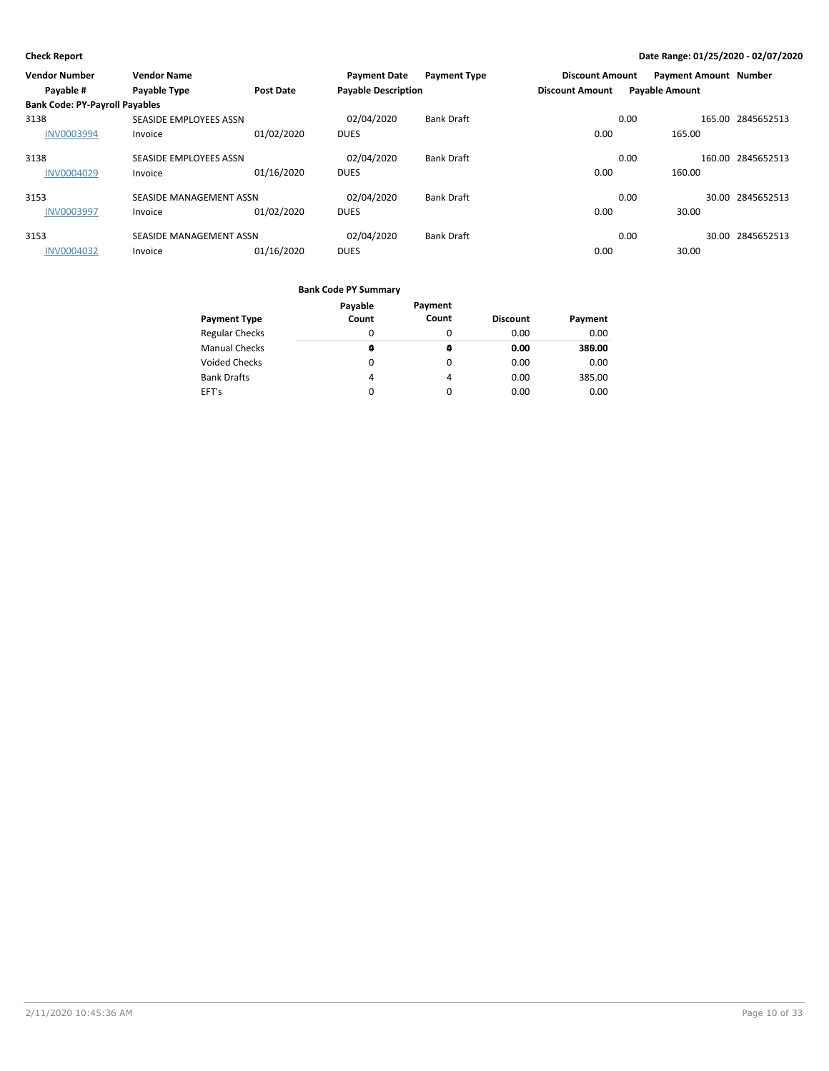| <b>Vendor Number</b>                  | <b>Vendor Name</b>      |                  | <b>Payment Date</b>        | <b>Payment Type</b> | <b>Discount Amount</b> |                       | <b>Payment Amount Number</b> |                   |
|---------------------------------------|-------------------------|------------------|----------------------------|---------------------|------------------------|-----------------------|------------------------------|-------------------|
| Payable #                             | Payable Type            | <b>Post Date</b> | <b>Payable Description</b> |                     | <b>Discount Amount</b> | <b>Payable Amount</b> |                              |                   |
| <b>Bank Code: PY-Payroll Payables</b> |                         |                  |                            |                     |                        |                       |                              |                   |
| 3138                                  | SEASIDE EMPLOYEES ASSN  |                  | 02/04/2020                 | <b>Bank Draft</b>   |                        | 0.00                  |                              | 165.00 2845652513 |
| <b>INV0003994</b>                     | Invoice                 | 01/02/2020       | <b>DUES</b>                |                     | 0.00                   |                       | 165.00                       |                   |
| 3138                                  | SEASIDE EMPLOYEES ASSN  |                  | 02/04/2020                 | <b>Bank Draft</b>   |                        | 0.00                  |                              | 160.00 2845652513 |
| <b>INV0004029</b>                     | Invoice                 | 01/16/2020       | <b>DUES</b>                |                     | 0.00                   |                       | 160.00                       |                   |
| 3153                                  | SEASIDE MANAGEMENT ASSN |                  | 02/04/2020                 | <b>Bank Draft</b>   |                        | 0.00                  |                              | 30.00 2845652513  |
| <b>INV0003997</b>                     | Invoice                 | 01/02/2020       | <b>DUES</b>                |                     | 0.00                   |                       | 30.00                        |                   |
| 3153                                  | SEASIDE MANAGEMENT ASSN |                  | 02/04/2020                 | <b>Bank Draft</b>   |                        | 0.00                  |                              | 30.00 2845652513  |
| <b>INV0004032</b>                     | Invoice                 | 01/16/2020       | <b>DUES</b>                |                     | 0.00                   |                       | 30.00                        |                   |

| <b>Payment Type</b>   | Payable<br>Count | Payment<br>Count | <b>Discount</b> | Payment |
|-----------------------|------------------|------------------|-----------------|---------|
|                       |                  |                  |                 |         |
| <b>Regular Checks</b> | 0                | O                | 0.00            | 0.00    |
| <b>Manual Checks</b>  | a                | a                | 0.00            | 389.00  |
| <b>Voided Checks</b>  | 0                | 0                | 0.00            | 0.00    |
| <b>Bank Drafts</b>    | 4                | 4                | 0.00            | 385.00  |
| EFT's                 | $\Omega$         | 0                | 0.00            | 0.00    |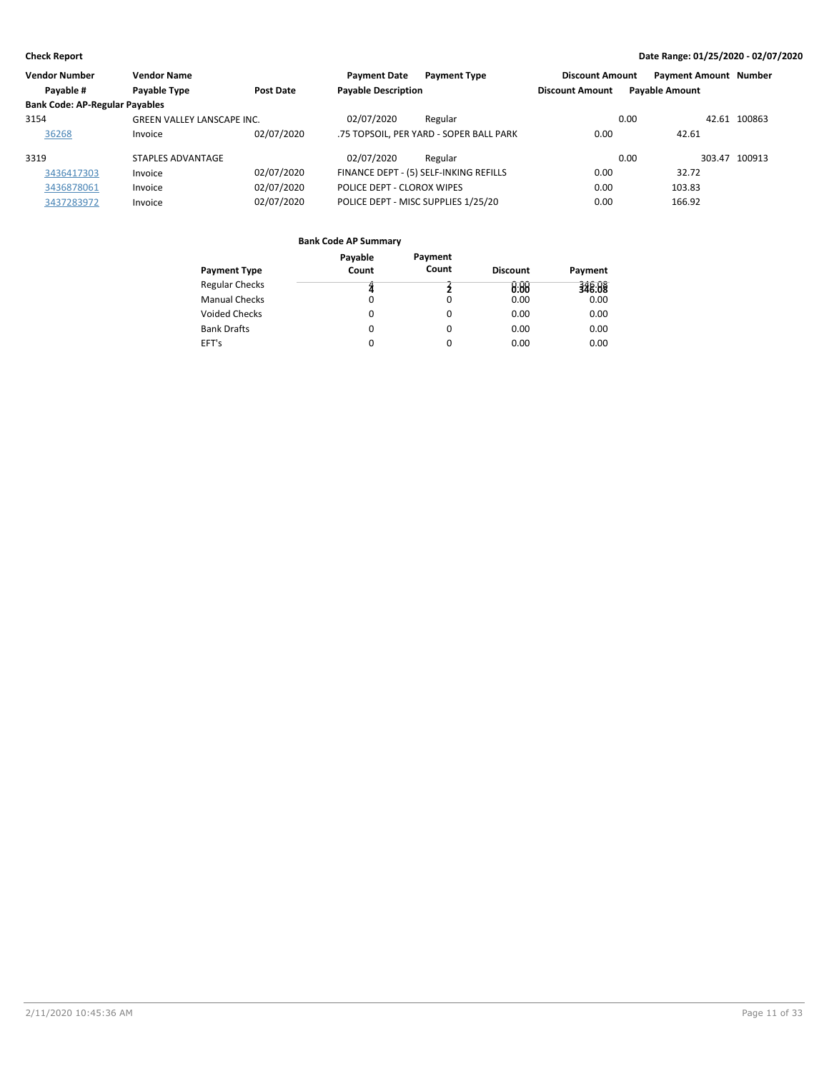| <b>Vendor Number</b>                  | <b>Vendor Name</b>                |            | <b>Payment Date</b>        | <b>Payment Type</b>                     | <b>Discount Amount</b> | <b>Payment Amount Number</b> |               |
|---------------------------------------|-----------------------------------|------------|----------------------------|-----------------------------------------|------------------------|------------------------------|---------------|
| Payable #                             | Payable Type                      | Post Date  | <b>Payable Description</b> |                                         | <b>Discount Amount</b> | <b>Payable Amount</b>        |               |
| <b>Bank Code: AP-Regular Payables</b> |                                   |            |                            |                                         |                        |                              |               |
| 3154                                  | <b>GREEN VALLEY LANSCAPE INC.</b> |            | 02/07/2020                 | Regular                                 |                        | 0.00                         | 42.61 100863  |
| 36268                                 | Invoice                           | 02/07/2020 |                            | .75 TOPSOIL, PER YARD - SOPER BALL PARK | 0.00                   | 42.61                        |               |
| 3319                                  | STAPLES ADVANTAGE                 |            | 02/07/2020                 | Regular                                 |                        | 0.00                         | 303.47 100913 |
| 3436417303                            | Invoice                           | 02/07/2020 |                            | FINANCE DEPT - (5) SELF-INKING REFILLS  | 0.00                   | 32.72                        |               |
| 3436878061                            | Invoice                           | 02/07/2020 | POLICE DEPT - CLOROX WIPES |                                         | 0.00                   | 103.83                       |               |
| 3437283972                            | Invoice                           | 02/07/2020 |                            | POLICE DEPT - MISC SUPPLIES 1/25/20     | 0.00                   | 166.92                       |               |

|                       | Payable | Payment |                 |         |
|-----------------------|---------|---------|-----------------|---------|
| <b>Payment Type</b>   | Count   | Count   | <b>Discount</b> | Payment |
| <b>Regular Checks</b> | Z       |         | 0.00            | 348.08  |
| <b>Manual Checks</b>  | 0       | 0       | 0.00            | 0.00    |
| <b>Voided Checks</b>  | 0       | 0       | 0.00            | 0.00    |
| <b>Bank Drafts</b>    | 0       | 0       | 0.00            | 0.00    |
| EFT's                 | 0       | 0       | 0.00            | 0.00    |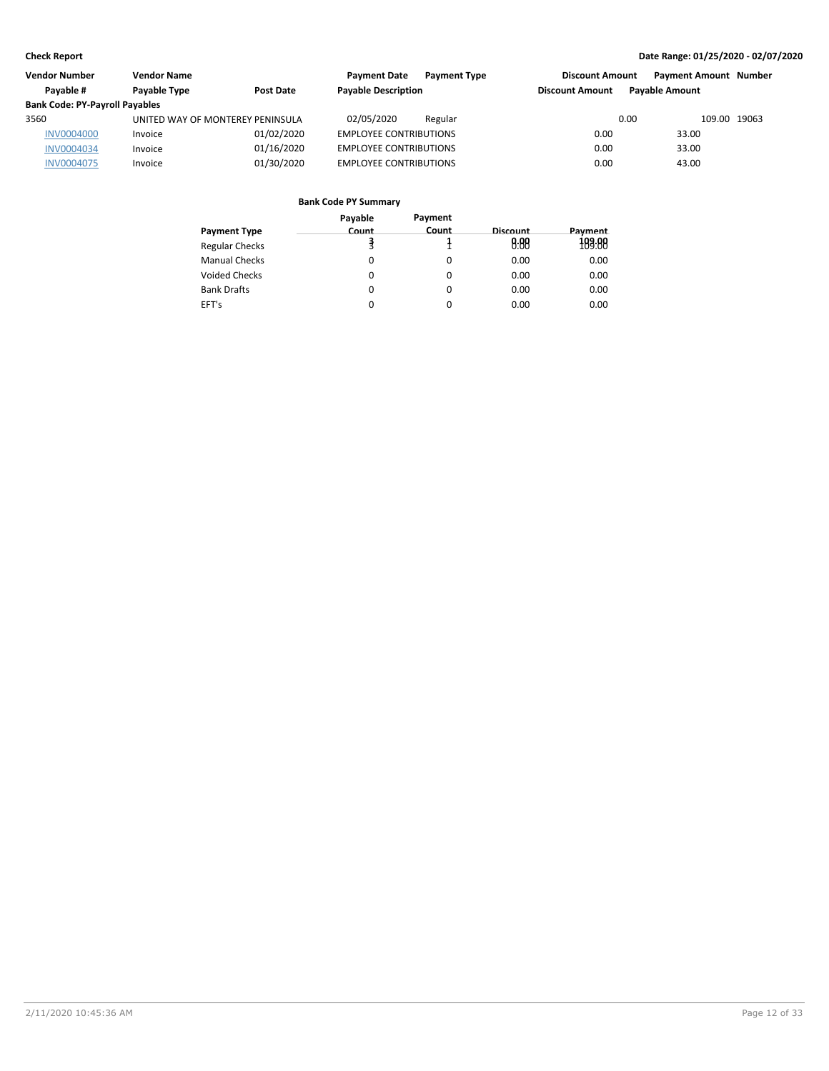| Vendor Number                         | <b>Vendor Name</b>               |            | <b>Payment Date</b><br><b>Payment Type</b> | <b>Discount Amount</b> | <b>Payment Amount Number</b> |  |
|---------------------------------------|----------------------------------|------------|--------------------------------------------|------------------------|------------------------------|--|
| Pavable #                             | Payable Type                     | Post Date  | <b>Payable Description</b>                 | <b>Discount Amount</b> | <b>Pavable Amount</b>        |  |
| <b>Bank Code: PY-Payroll Payables</b> |                                  |            |                                            |                        |                              |  |
| 3560                                  | UNITED WAY OF MONTEREY PENINSULA |            | 02/05/2020<br>Regular                      | 0.00                   | 109.00 19063                 |  |
| <b>INV0004000</b>                     | Invoice                          | 01/02/2020 | <b>EMPLOYEE CONTRIBUTIONS</b>              | 0.00                   | 33.00                        |  |
| <b>INV0004034</b>                     | Invoice                          | 01/16/2020 | <b>EMPLOYEE CONTRIBUTIONS</b>              | 0.00                   | 33.00                        |  |
| <b>INV0004075</b>                     | Invoice                          | 01/30/2020 | <b>EMPLOYEE CONTRIBUTIONS</b>              | 0.00                   | 43.00                        |  |

|                       | Payable | Payment  |          |         |
|-----------------------|---------|----------|----------|---------|
| Payment Type          | Count   | Count    | Discount | Payment |
| <b>Regular Checks</b> |         |          | 8.88     | 189:88  |
| Manual Checks         | 0       | $\Omega$ | 0.00     | 0.00    |
| <b>Voided Checks</b>  | 0       | 0        | 0.00     | 0.00    |
| <b>Bank Drafts</b>    | 0       | $\Omega$ | 0.00     | 0.00    |
| EFT's                 | 0       | 0        | 0.00     | 0.00    |
|                       |         |          |          |         |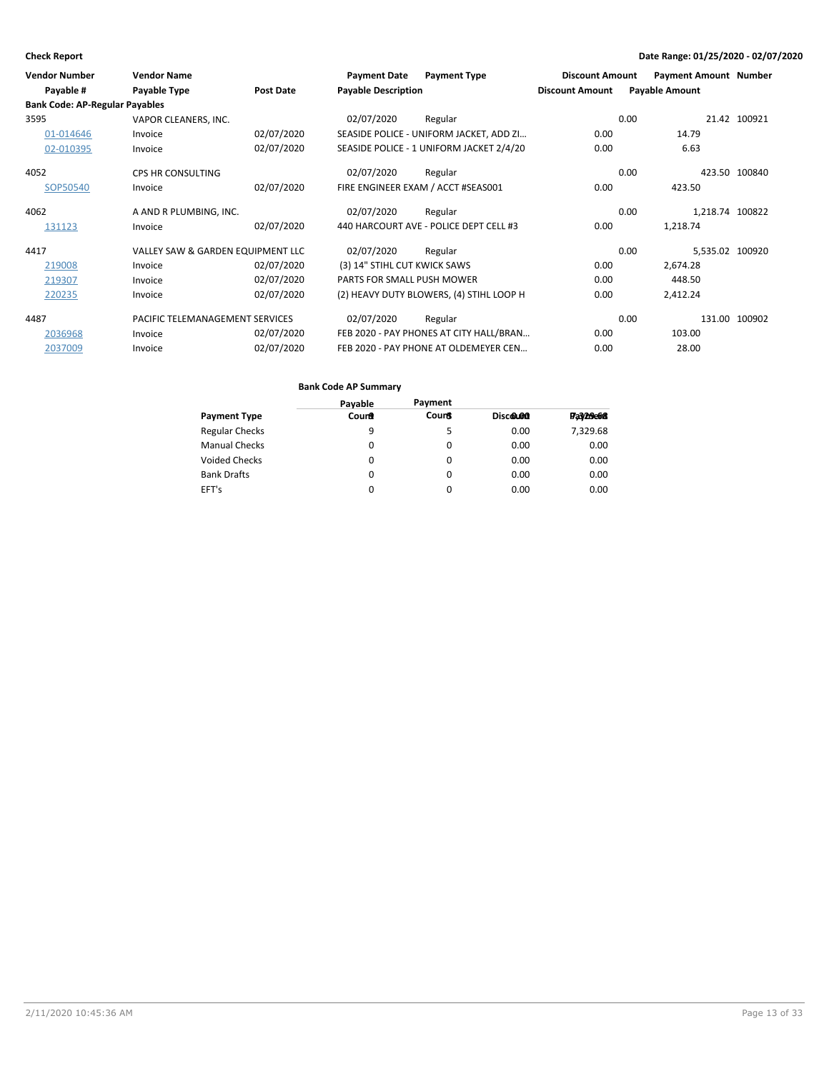| <b>Vendor Number</b><br>Payable #     | <b>Vendor Name</b><br>Payable Type | Post Date  | <b>Payment Date</b><br><b>Payable Description</b> | <b>Payment Type</b>                      | <b>Discount Amount</b><br><b>Discount Amount</b> | <b>Payment Amount Number</b><br><b>Payable Amount</b> |               |
|---------------------------------------|------------------------------------|------------|---------------------------------------------------|------------------------------------------|--------------------------------------------------|-------------------------------------------------------|---------------|
| <b>Bank Code: AP-Regular Payables</b> |                                    |            |                                                   |                                          |                                                  |                                                       |               |
| 3595                                  | VAPOR CLEANERS, INC.               |            | 02/07/2020                                        | Regular                                  |                                                  | 0.00                                                  | 21.42 100921  |
| 01-014646                             | Invoice                            | 02/07/2020 |                                                   | SEASIDE POLICE - UNIFORM JACKET, ADD ZI  | 0.00                                             | 14.79                                                 |               |
| 02-010395                             | Invoice                            | 02/07/2020 |                                                   | SEASIDE POLICE - 1 UNIFORM JACKET 2/4/20 | 0.00                                             | 6.63                                                  |               |
| 4052                                  | <b>CPS HR CONSULTING</b>           |            | 02/07/2020                                        | Regular                                  |                                                  | 0.00                                                  | 423.50 100840 |
| SOP50540                              | Invoice                            | 02/07/2020 |                                                   | FIRE ENGINEER EXAM / ACCT #SEAS001       | 0.00                                             | 423.50                                                |               |
| 4062                                  | A AND R PLUMBING, INC.             |            | 02/07/2020                                        | Regular                                  |                                                  | 1,218.74 100822<br>0.00                               |               |
| 131123                                | Invoice                            | 02/07/2020 |                                                   | 440 HARCOURT AVE - POLICE DEPT CELL #3   | 0.00                                             | 1,218.74                                              |               |
| 4417                                  | VALLEY SAW & GARDEN EQUIPMENT LLC  |            | 02/07/2020                                        | Regular                                  |                                                  | 5,535.02 100920<br>0.00                               |               |
| 219008                                | Invoice                            | 02/07/2020 | (3) 14" STIHL CUT KWICK SAWS                      |                                          | 0.00                                             | 2,674.28                                              |               |
| 219307                                | Invoice                            | 02/07/2020 | PARTS FOR SMALL PUSH MOWER                        |                                          | 0.00                                             | 448.50                                                |               |
| 220235                                | Invoice                            | 02/07/2020 |                                                   | (2) HEAVY DUTY BLOWERS, (4) STIHL LOOP H | 0.00                                             | 2,412.24                                              |               |
| 4487                                  | PACIFIC TELEMANAGEMENT SERVICES    |            | 02/07/2020                                        | Regular                                  |                                                  | 0.00                                                  | 131.00 100902 |
| 2036968                               | Invoice                            | 02/07/2020 |                                                   | FEB 2020 - PAY PHONES AT CITY HALL/BRAN  | 0.00                                             | 103.00                                                |               |
| 2037009                               | Invoice                            | 02/07/2020 |                                                   | FEB 2020 - PAY PHONE AT OLDEMEYER CEN    | 0.00                                             | 28.00                                                 |               |

|                       | <b>Bank Code AP Summary</b> |              |          |           |
|-----------------------|-----------------------------|--------------|----------|-----------|
|                       | Payable                     | Payment      |          |           |
| Payment Type          | Count                       | <b>Count</b> | Discound | Fa3/29e68 |
| <b>Regular Checks</b> | 9                           | 5            | 0.00     | 7,329.68  |
| Manual Checks         | 0                           | 0            | 0.00     | 0.00      |
| Voided Checks         | 0                           | 0            | 0.00     | 0.00      |
| <b>Bank Drafts</b>    | 0                           | $\Omega$     | 0.00     | 0.00      |
| EFT's                 | 0                           | 0            | 0.00     | 0.00      |
|                       |                             |              |          |           |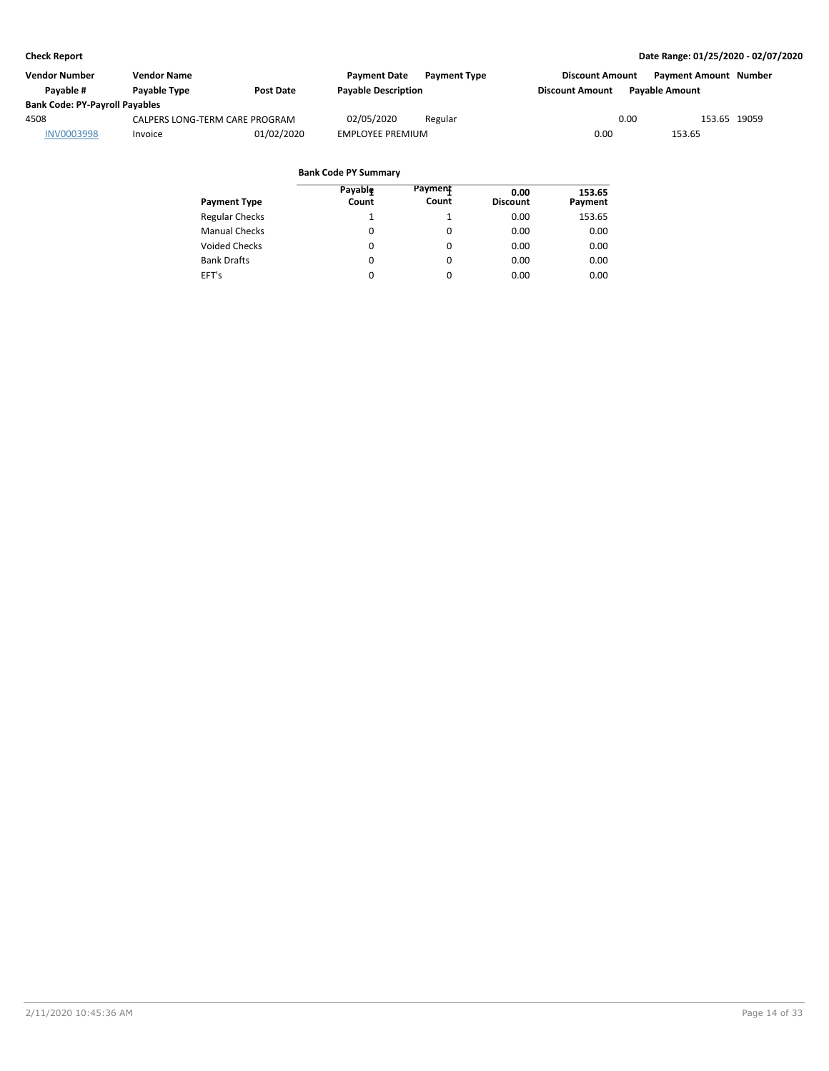| Vendor Number                         | Vendor Name                    |                  | <b>Payment Date</b>        | <b>Payment Type</b> | <b>Discount Amount</b> | <b>Payment Amount Number</b> |              |
|---------------------------------------|--------------------------------|------------------|----------------------------|---------------------|------------------------|------------------------------|--------------|
| Pavable #                             | Payable Type                   | <b>Post Date</b> | <b>Payable Description</b> |                     | <b>Discount Amount</b> | <b>Pavable Amount</b>        |              |
| <b>Bank Code: PY-Payroll Payables</b> |                                |                  |                            |                     |                        |                              |              |
| 4508                                  | CALPERS LONG-TERM CARE PROGRAM |                  | 02/05/2020                 | Regular             |                        | 0.00                         | 153.65 19059 |
| <b>INV0003998</b>                     | Invoice                        | 01/02/2020       | <b>EMPLOYEE PREMIUM</b>    |                     | 0.00                   | 153.65                       |              |

| <b>Payment Type</b>   | Payable<br>Count | Payment<br>Count | 0.00<br><b>Discount</b> | 153.65<br>Payment |
|-----------------------|------------------|------------------|-------------------------|-------------------|
| <b>Regular Checks</b> | 1                |                  | 0.00                    | 153.65            |
| <b>Manual Checks</b>  | 0                | 0                | 0.00                    | 0.00              |
| <b>Voided Checks</b>  | 0                | 0                | 0.00                    | 0.00              |
| <b>Bank Drafts</b>    | 0                | 0                | 0.00                    | 0.00              |
| EFT's                 | 0                | $\Omega$         | 0.00                    | 0.00              |
|                       |                  |                  |                         |                   |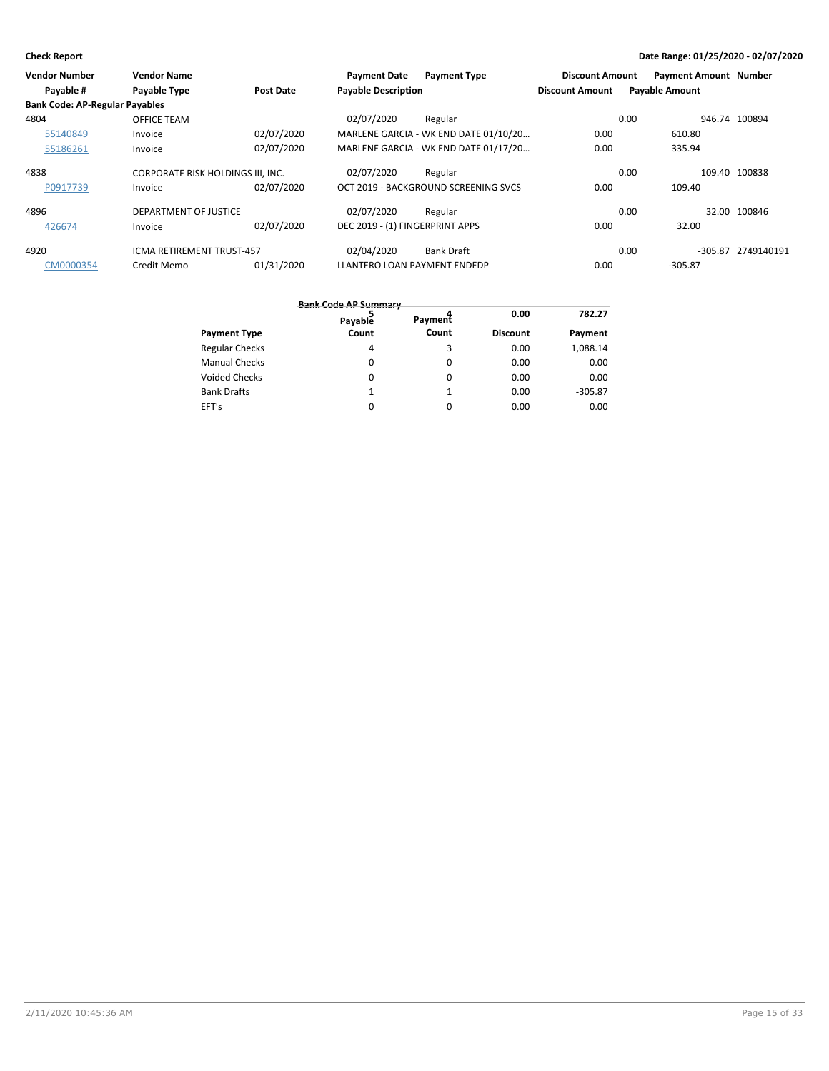| <b>Vendor Number</b>                  | <b>Vendor Name</b>                |            | <b>Payment Date</b>             | <b>Payment Type</b>                   | <b>Discount Amount</b> |                       | <b>Payment Amount Number</b> |                    |
|---------------------------------------|-----------------------------------|------------|---------------------------------|---------------------------------------|------------------------|-----------------------|------------------------------|--------------------|
| Payable #                             | Payable Type                      | Post Date  | <b>Payable Description</b>      |                                       | <b>Discount Amount</b> | <b>Payable Amount</b> |                              |                    |
| <b>Bank Code: AP-Regular Payables</b> |                                   |            |                                 |                                       |                        |                       |                              |                    |
| 4804                                  | <b>OFFICE TEAM</b>                |            | 02/07/2020                      | Regular                               |                        | 0.00                  |                              | 946.74 100894      |
| 55140849                              | Invoice                           | 02/07/2020 |                                 | MARLENE GARCIA - WK END DATE 01/10/20 | 0.00                   |                       | 610.80                       |                    |
| 55186261                              | Invoice                           | 02/07/2020 |                                 | MARLENE GARCIA - WK END DATE 01/17/20 | 0.00                   |                       | 335.94                       |                    |
| 4838                                  | CORPORATE RISK HOLDINGS III, INC. |            | 02/07/2020                      | Regular                               |                        | 0.00                  |                              | 109.40 100838      |
| P0917739                              | Invoice                           | 02/07/2020 |                                 | OCT 2019 - BACKGROUND SCREENING SVCS  | 0.00                   |                       | 109.40                       |                    |
| 4896                                  | DEPARTMENT OF JUSTICE             |            | 02/07/2020                      | Regular                               |                        | 0.00                  |                              | 32.00 100846       |
| 426674                                | Invoice                           | 02/07/2020 | DEC 2019 - (1) FINGERPRINT APPS |                                       | 0.00                   |                       | 32.00                        |                    |
| 4920                                  | <b>ICMA RETIREMENT TRUST-457</b>  |            | 02/04/2020                      | <b>Bank Draft</b>                     |                        | 0.00                  |                              | -305.87 2749140191 |
| CM0000354                             | Credit Memo                       | 01/31/2020 | LLANTERO LOAN PAYMENT ENDEDP    |                                       | 0.00                   |                       | $-305.87$                    |                    |

|                       | <b>Bank Code AP Summary</b><br>Payable | Payment | 0.00            | 782.27    |
|-----------------------|----------------------------------------|---------|-----------------|-----------|
| <b>Payment Type</b>   | Count                                  | Count   | <b>Discount</b> | Payment   |
| <b>Regular Checks</b> | 4                                      | 3       | 0.00            | 1,088.14  |
| <b>Manual Checks</b>  | 0                                      | 0       | 0.00            | 0.00      |
| Voided Checks         | 0                                      | 0       | 0.00            | 0.00      |
| <b>Bank Drafts</b>    | 1                                      |         | 0.00            | $-305.87$ |
| EFT's                 |                                        | 0       | 0.00            | 0.00      |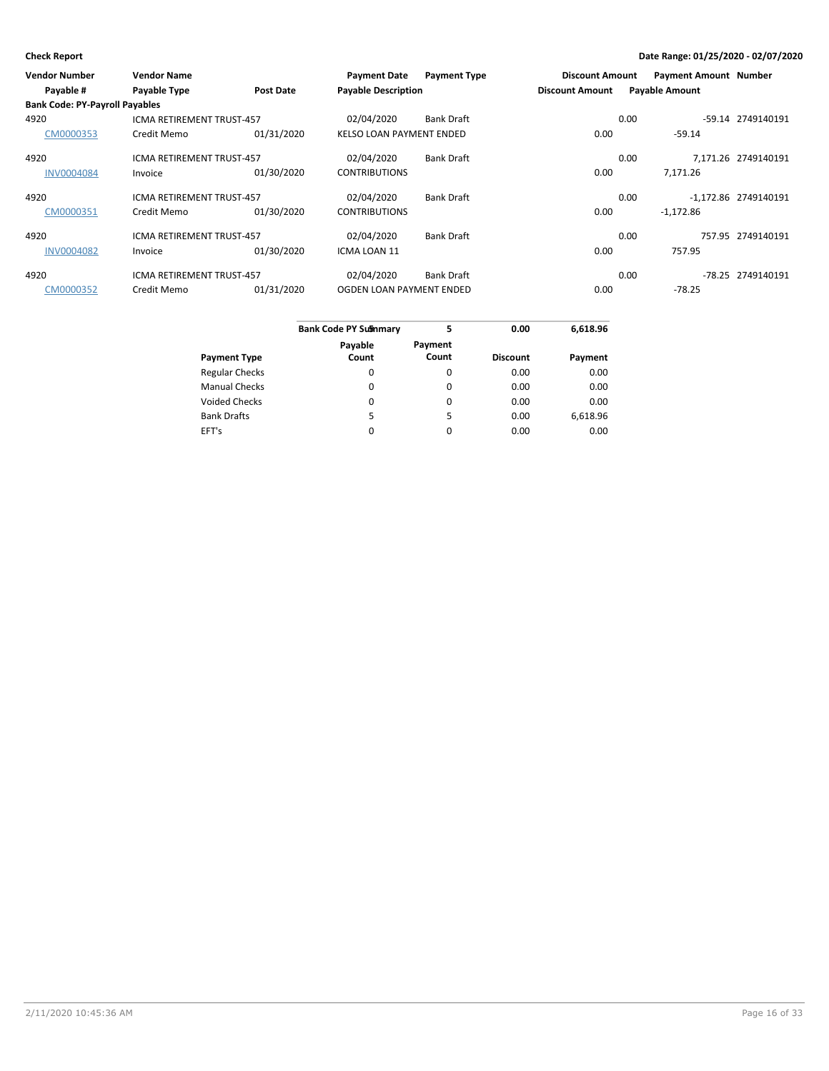| <b>Vendor Number</b>                  | <b>Vendor Name</b>               |                  | <b>Payment Date</b>             | <b>Payment Type</b> | <b>Discount Amount</b> |      | <b>Payment Amount Number</b> |                      |
|---------------------------------------|----------------------------------|------------------|---------------------------------|---------------------|------------------------|------|------------------------------|----------------------|
| Payable #                             | Payable Type                     | <b>Post Date</b> | <b>Payable Description</b>      |                     | <b>Discount Amount</b> |      | <b>Payable Amount</b>        |                      |
| <b>Bank Code: PY-Payroll Payables</b> |                                  |                  |                                 |                     |                        |      |                              |                      |
| 4920                                  | <b>ICMA RETIREMENT TRUST-457</b> |                  | 02/04/2020                      | <b>Bank Draft</b>   |                        | 0.00 |                              | -59.14 2749140191    |
| CM0000353                             | Credit Memo                      | 01/31/2020       | <b>KELSO LOAN PAYMENT ENDED</b> |                     | 0.00                   |      | $-59.14$                     |                      |
| 4920                                  | <b>ICMA RETIREMENT TRUST-457</b> |                  | 02/04/2020                      | <b>Bank Draft</b>   |                        | 0.00 |                              | 7.171.26 2749140191  |
| <b>INV0004084</b>                     | Invoice                          | 01/30/2020       | <b>CONTRIBUTIONS</b>            |                     | 0.00                   |      | 7,171.26                     |                      |
| 4920                                  | <b>ICMA RETIREMENT TRUST-457</b> |                  | 02/04/2020                      | <b>Bank Draft</b>   |                        | 0.00 |                              | -1.172.86 2749140191 |
| CM0000351                             | Credit Memo                      | 01/30/2020       | <b>CONTRIBUTIONS</b>            |                     | 0.00                   |      | $-1,172.86$                  |                      |
| 4920                                  | <b>ICMA RETIREMENT TRUST-457</b> |                  | 02/04/2020                      | <b>Bank Draft</b>   |                        | 0.00 |                              | 757.95 2749140191    |
| <b>INV0004082</b>                     | Invoice                          | 01/30/2020       | ICMA LOAN 11                    |                     | 0.00                   |      | 757.95                       |                      |
| 4920                                  | <b>ICMA RETIREMENT TRUST-457</b> |                  | 02/04/2020                      | <b>Bank Draft</b>   |                        | 0.00 |                              | -78.25 2749140191    |
| CM0000352                             | Credit Memo                      | 01/31/2020       | OGDEN LOAN PAYMENT ENDED        |                     | 0.00                   |      | $-78.25$                     |                      |

|                       | <b>Bank Code PY Sufinmary</b> | 5        | 0.00            | 6,618.96 |
|-----------------------|-------------------------------|----------|-----------------|----------|
|                       | Payable                       | Payment  |                 |          |
| <b>Payment Type</b>   | Count                         | Count    | <b>Discount</b> | Payment  |
| <b>Regular Checks</b> | 0                             | $\Omega$ | 0.00            | 0.00     |
| <b>Manual Checks</b>  | 0                             | $\Omega$ | 0.00            | 0.00     |
| <b>Voided Checks</b>  | 0                             | 0        | 0.00            | 0.00     |
| <b>Bank Drafts</b>    | 5                             | 5        | 0.00            | 6,618.96 |
| EFT's                 | $\Omega$                      | 0        | 0.00            | 0.00     |
|                       |                               |          |                 |          |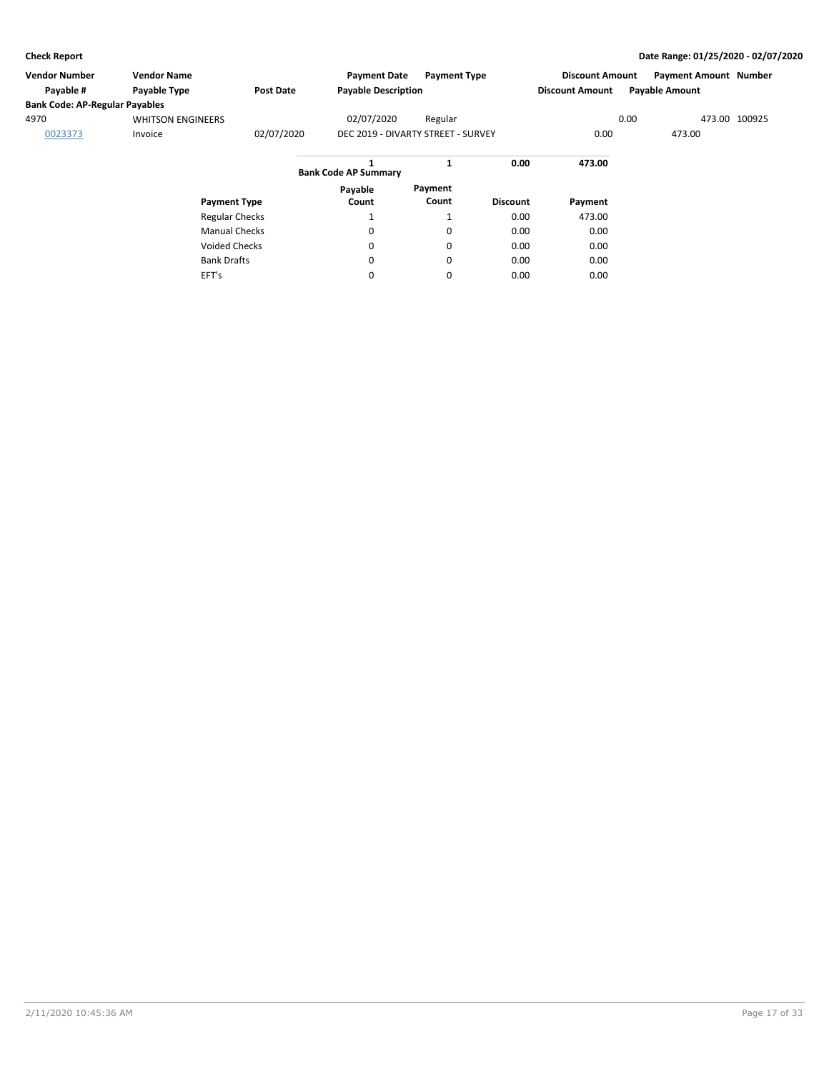| <b>Vendor Number</b>                  | <b>Vendor Name</b>       |                       | <b>Payment Date</b>              | <b>Payment Type</b>                |                 | <b>Discount Amount</b> |      | <b>Payment Amount Number</b> |               |
|---------------------------------------|--------------------------|-----------------------|----------------------------------|------------------------------------|-----------------|------------------------|------|------------------------------|---------------|
| Payable #                             | Payable Type             | <b>Post Date</b>      | <b>Payable Description</b>       |                                    |                 | <b>Discount Amount</b> |      | <b>Payable Amount</b>        |               |
| <b>Bank Code: AP-Regular Payables</b> |                          |                       |                                  |                                    |                 |                        |      |                              |               |
| 4970                                  | <b>WHITSON ENGINEERS</b> |                       | 02/07/2020                       | Regular                            |                 |                        | 0.00 |                              | 473.00 100925 |
| 0023373                               | Invoice                  | 02/07/2020            |                                  | DEC 2019 - DIVARTY STREET - SURVEY |                 | 0.00                   |      | 473.00                       |               |
|                                       |                          |                       | 1<br><b>Bank Code AP Summary</b> | 1                                  | 0.00            | 473.00                 |      |                              |               |
|                                       |                          |                       | Payable                          | Payment                            |                 |                        |      |                              |               |
|                                       | <b>Payment Type</b>      |                       | Count                            | Count                              | <b>Discount</b> | Payment                |      |                              |               |
|                                       |                          | <b>Regular Checks</b> | Ŧ                                | T                                  | 0.00            | 473.00                 |      |                              |               |
|                                       |                          | <b>Manual Checks</b>  | 0                                | 0                                  | 0.00            | 0.00                   |      |                              |               |
|                                       | <b>Voided Checks</b>     |                       | 0                                | 0                                  | 0.00            | 0.00                   |      |                              |               |
|                                       | <b>Bank Drafts</b>       |                       | 0                                | 0                                  | 0.00            | 0.00                   |      |                              |               |
|                                       | EFT's                    |                       | 0                                | 0                                  | 0.00            | 0.00                   |      |                              |               |
|                                       |                          |                       |                                  |                                    |                 |                        |      |                              |               |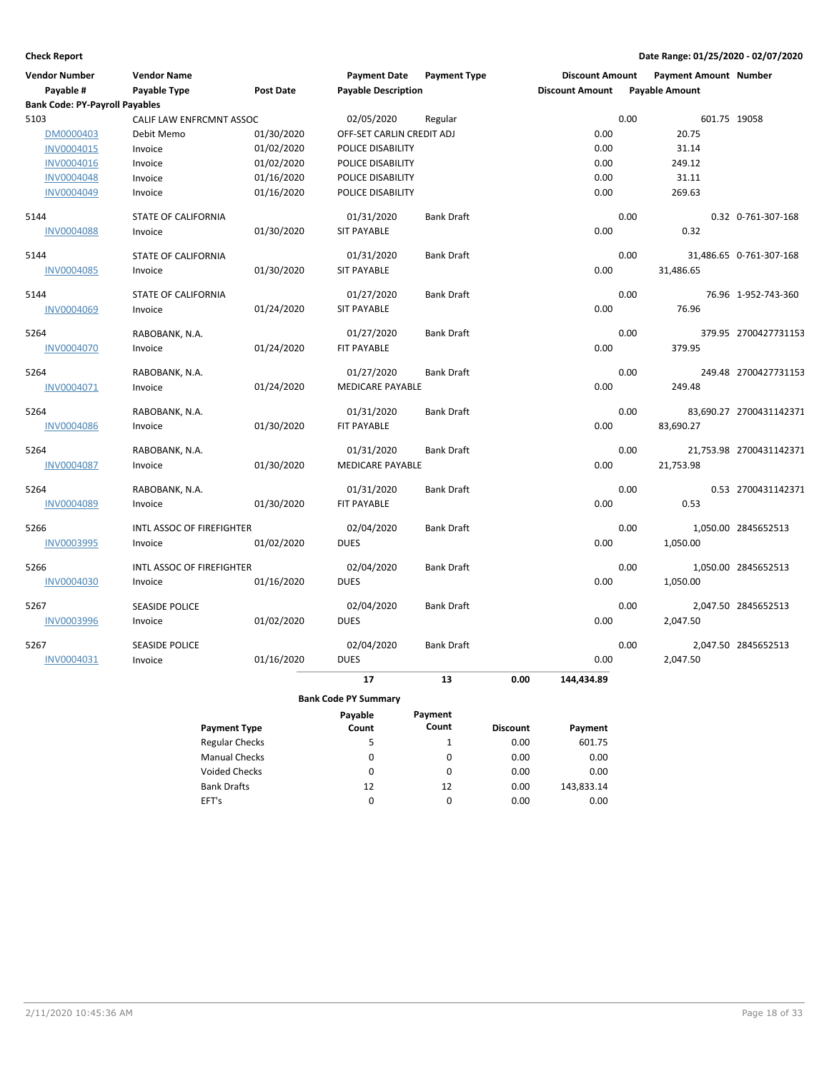| <b>Vendor Number</b>                  | <b>Vendor Name</b>        |                  | <b>Payment Date</b>         | <b>Payment Type</b> | <b>Discount Amount</b> | <b>Payment Amount Number</b> |                         |
|---------------------------------------|---------------------------|------------------|-----------------------------|---------------------|------------------------|------------------------------|-------------------------|
| Payable #                             | Payable Type              | <b>Post Date</b> | <b>Payable Description</b>  |                     | <b>Discount Amount</b> | <b>Payable Amount</b>        |                         |
| <b>Bank Code: PY-Payroll Payables</b> |                           |                  |                             |                     |                        |                              |                         |
| 5103                                  | CALIF LAW ENFRCMNT ASSOC  |                  | 02/05/2020                  | Regular             |                        | 0.00<br>601.75 19058         |                         |
| DM0000403                             | Debit Memo                | 01/30/2020       | OFF-SET CARLIN CREDIT ADJ   |                     | 0.00                   | 20.75                        |                         |
| <b>INV0004015</b>                     | Invoice                   | 01/02/2020       | POLICE DISABILITY           |                     | 0.00                   | 31.14                        |                         |
| INV0004016                            | Invoice                   | 01/02/2020       | POLICE DISABILITY           |                     | 0.00                   | 249.12                       |                         |
| INV0004048                            | Invoice                   | 01/16/2020       | POLICE DISABILITY           |                     | 0.00                   | 31.11                        |                         |
| <b>INV0004049</b>                     | Invoice                   | 01/16/2020       | POLICE DISABILITY           |                     | 0.00                   | 269.63                       |                         |
| 5144                                  | STATE OF CALIFORNIA       |                  | 01/31/2020                  | <b>Bank Draft</b>   |                        | 0.00                         | 0.32 0-761-307-168      |
| <b>INV0004088</b>                     | Invoice                   | 01/30/2020       | <b>SIT PAYABLE</b>          |                     | 0.00                   | 0.32                         |                         |
| 5144                                  | STATE OF CALIFORNIA       |                  | 01/31/2020                  | <b>Bank Draft</b>   |                        | 0.00                         | 31,486.65 0-761-307-168 |
| INV0004085                            | Invoice                   | 01/30/2020       | <b>SIT PAYABLE</b>          |                     | 0.00                   | 31,486.65                    |                         |
| 5144                                  | STATE OF CALIFORNIA       |                  | 01/27/2020                  | <b>Bank Draft</b>   |                        | 0.00                         | 76.96 1-952-743-360     |
| INV0004069                            | Invoice                   | 01/24/2020       | <b>SIT PAYABLE</b>          |                     | 0.00                   | 76.96                        |                         |
| 5264                                  | RABOBANK, N.A.            |                  | 01/27/2020                  | <b>Bank Draft</b>   |                        | 0.00                         | 379.95 2700427731153    |
| INV0004070                            | Invoice                   | 01/24/2020       | FIT PAYABLE                 |                     | 0.00                   | 379.95                       |                         |
| 5264                                  | RABOBANK, N.A.            |                  | 01/27/2020                  | <b>Bank Draft</b>   |                        | 0.00                         | 249.48 2700427731153    |
| INV0004071                            | Invoice                   | 01/24/2020       | MEDICARE PAYABLE            |                     | 0.00                   | 249.48                       |                         |
| 5264                                  | RABOBANK, N.A.            |                  | 01/31/2020                  | <b>Bank Draft</b>   |                        | 0.00                         | 83,690.27 2700431142371 |
| <b>INV0004086</b>                     | Invoice                   | 01/30/2020       | FIT PAYABLE                 |                     | 0.00                   | 83,690.27                    |                         |
| 5264                                  | RABOBANK, N.A.            |                  | 01/31/2020                  | <b>Bank Draft</b>   |                        | 0.00                         | 21,753.98 2700431142371 |
| <b>INV0004087</b>                     | Invoice                   | 01/30/2020       | <b>MEDICARE PAYABLE</b>     |                     | 0.00                   | 21,753.98                    |                         |
| 5264                                  | RABOBANK, N.A.            |                  | 01/31/2020                  | <b>Bank Draft</b>   |                        | 0.00                         | 0.53 2700431142371      |
| INV0004089                            | Invoice                   | 01/30/2020       | <b>FIT PAYABLE</b>          |                     | 0.00                   | 0.53                         |                         |
| 5266                                  | INTL ASSOC OF FIREFIGHTER |                  | 02/04/2020                  | <b>Bank Draft</b>   |                        | 0.00                         | 1,050.00 2845652513     |
| INV0003995                            | Invoice                   | 01/02/2020       | <b>DUES</b>                 |                     | 0.00                   | 1,050.00                     |                         |
| 5266                                  | INTL ASSOC OF FIREFIGHTER |                  | 02/04/2020                  | <b>Bank Draft</b>   |                        | 0.00                         | 1,050.00 2845652513     |
| INV0004030                            | Invoice                   | 01/16/2020       | <b>DUES</b>                 |                     | 0.00                   | 1,050.00                     |                         |
| 5267                                  | <b>SEASIDE POLICE</b>     |                  | 02/04/2020                  | <b>Bank Draft</b>   |                        | 0.00                         | 2,047.50 2845652513     |
| <b>INV0003996</b>                     | Invoice                   | 01/02/2020       | <b>DUES</b>                 |                     | 0.00                   | 2,047.50                     |                         |
| 5267                                  | <b>SEASIDE POLICE</b>     |                  | 02/04/2020                  | <b>Bank Draft</b>   |                        | 0.00                         | 2,047.50 2845652513     |
| INV0004031                            | Invoice                   | 01/16/2020       | <b>DUES</b>                 |                     | 0.00                   | 2,047.50                     |                         |
|                                       |                           |                  | 17                          | 13                  | 0.00<br>144,434.89     |                              |                         |
|                                       |                           |                  | <b>Bank Code PY Summary</b> |                     |                        |                              |                         |

|                       | Payable | Payment  |                 |            |
|-----------------------|---------|----------|-----------------|------------|
| <b>Payment Type</b>   | Count   | Count    | <b>Discount</b> | Payment    |
| <b>Regular Checks</b> | 5       | 1        | 0.00            | 601.75     |
| <b>Manual Checks</b>  | 0       | 0        | 0.00            | 0.00       |
| Voided Checks         | 0       | 0        | 0.00            | 0.00       |
| <b>Bank Drafts</b>    | 12      | 12       | 0.00            | 143,833.14 |
| EFT's                 | 0       | $\Omega$ | 0.00            | 0.00       |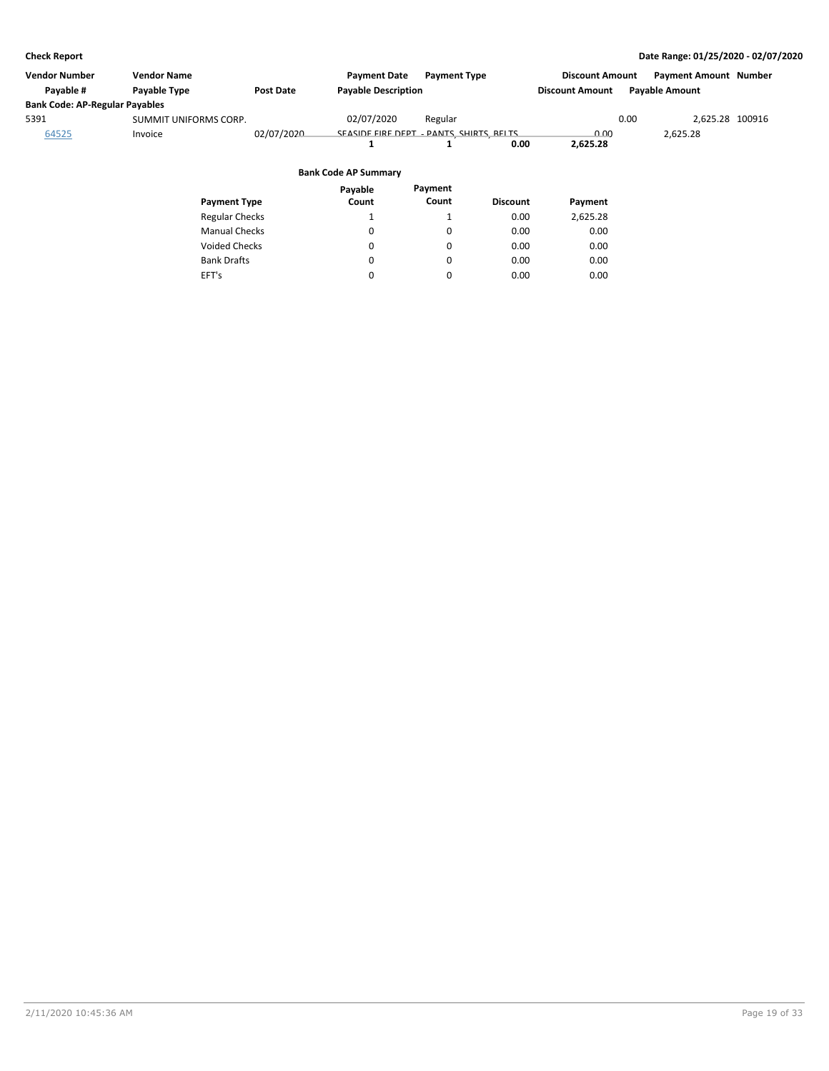| <b>Vendor Number</b>                  | <b>Vendor Name</b>    |                  | <b>Payment Date</b>                      | <b>Payment Type</b> |                 | <b>Discount Amount</b> |      | <b>Payment Amount Number</b> |  |
|---------------------------------------|-----------------------|------------------|------------------------------------------|---------------------|-----------------|------------------------|------|------------------------------|--|
| Payable #                             | Payable Type          | <b>Post Date</b> | <b>Payable Description</b>               |                     |                 | <b>Discount Amount</b> |      | <b>Payable Amount</b>        |  |
| <b>Bank Code: AP-Regular Payables</b> |                       |                  |                                          |                     |                 |                        |      |                              |  |
| 5391                                  | SUMMIT UNIFORMS CORP. |                  | 02/07/2020                               | Regular             |                 |                        | 0.00 | 2.625.28 100916              |  |
| 64525                                 | Invoice               | 02/07/2020       | SEASIDE FIRE DEPT - PANTS, SHIRTS, BELTS |                     | 0.00            | 0.00<br>2,625.28       |      | 2,625.28                     |  |
|                                       |                       |                  | <b>Bank Code AP Summary</b>              |                     |                 |                        |      |                              |  |
|                                       | <b>Payment Type</b>   |                  | Payable<br>Count                         | Payment<br>Count    | <b>Discount</b> | Payment                |      |                              |  |
|                                       | <b>Regular Checks</b> |                  |                                          |                     | 0.00            | 2,625.28               |      |                              |  |
|                                       | <b>Manual Checks</b>  |                  | 0                                        | 0                   | 0.00            | 0.00                   |      |                              |  |

0 0  $\pmb{0}$ 

0 0 0

0.00 0.00 0.00

0.00 0.00 0.00

Voided Checks

Bank Drafts EFT's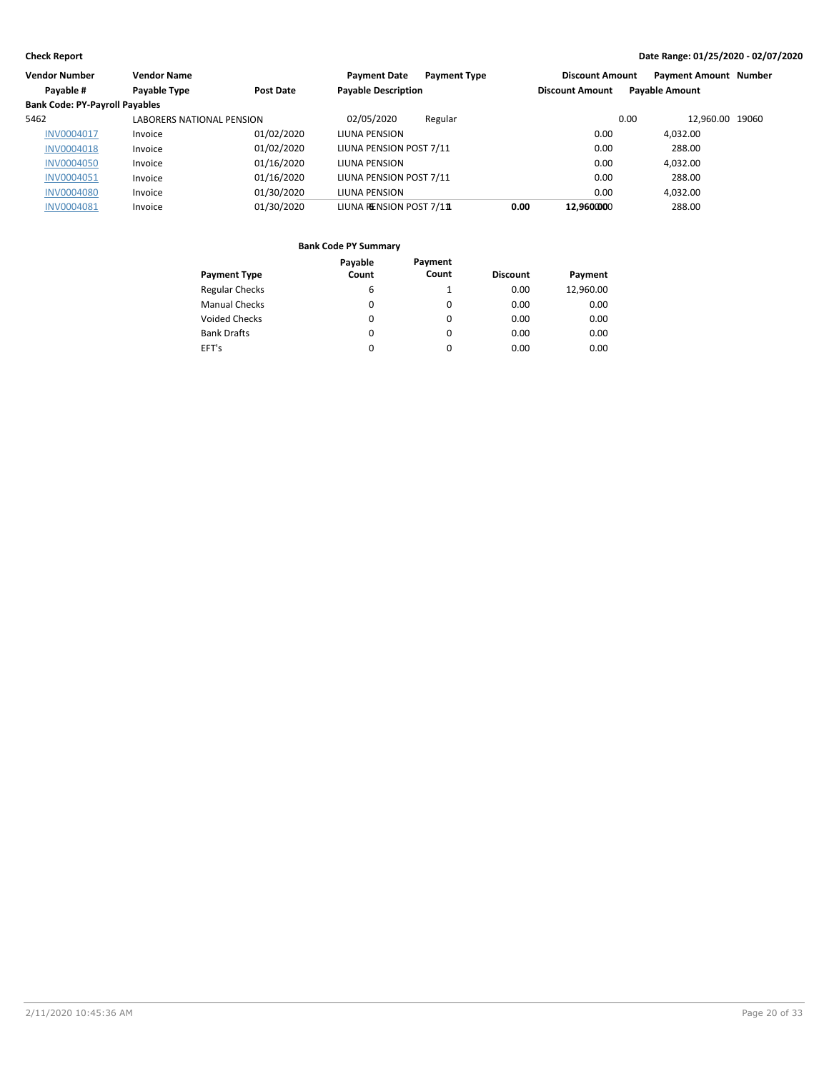| Vendor Number                         | <b>Vendor Name</b>        |            | <b>Payment Type</b><br><b>Payment Date</b> |      | <b>Discount Amount</b> | <b>Payment Amount Number</b> |  |
|---------------------------------------|---------------------------|------------|--------------------------------------------|------|------------------------|------------------------------|--|
| Payable #                             | Payable Type              | Post Date  | <b>Payable Description</b>                 |      | <b>Discount Amount</b> | <b>Payable Amount</b>        |  |
| <b>Bank Code: PY-Payroll Payables</b> |                           |            |                                            |      |                        |                              |  |
| 5462                                  | LABORERS NATIONAL PENSION |            | 02/05/2020<br>Regular                      |      |                        | 12.960.00 19060<br>0.00      |  |
| <b>INV0004017</b>                     | Invoice                   | 01/02/2020 | <b>LIUNA PENSION</b>                       |      | 0.00                   | 4,032.00                     |  |
| <b>INV0004018</b>                     | Invoice                   | 01/02/2020 | LIUNA PENSION POST 7/11                    |      | 0.00                   | 288.00                       |  |
| <b>INV0004050</b>                     | Invoice                   | 01/16/2020 | LIUNA PENSION                              |      | 0.00                   | 4.032.00                     |  |
| <b>INV0004051</b>                     | Invoice                   | 01/16/2020 | LIUNA PENSION POST 7/11                    |      | 0.00                   | 288.00                       |  |
| <b>INV0004080</b>                     | Invoice                   | 01/30/2020 | LIUNA PENSION                              |      | 0.00                   | 4.032.00                     |  |
| <b>INV0004081</b>                     | Invoice                   | 01/30/2020 | LIUNA RENSION POST 7/11                    | 0.00 | 12.960000              | 288.00                       |  |

|                       | Payable | Payment |                 |           |
|-----------------------|---------|---------|-----------------|-----------|
| <b>Payment Type</b>   | Count   | Count   | <b>Discount</b> | Payment   |
| <b>Regular Checks</b> | 6       |         | 0.00            | 12,960.00 |
| <b>Manual Checks</b>  | 0       | 0       | 0.00            | 0.00      |
| <b>Voided Checks</b>  | 0       | 0       | 0.00            | 0.00      |
| <b>Bank Drafts</b>    | 0       | 0       | 0.00            | 0.00      |
| EFT's                 | 0       | 0       | 0.00            | 0.00      |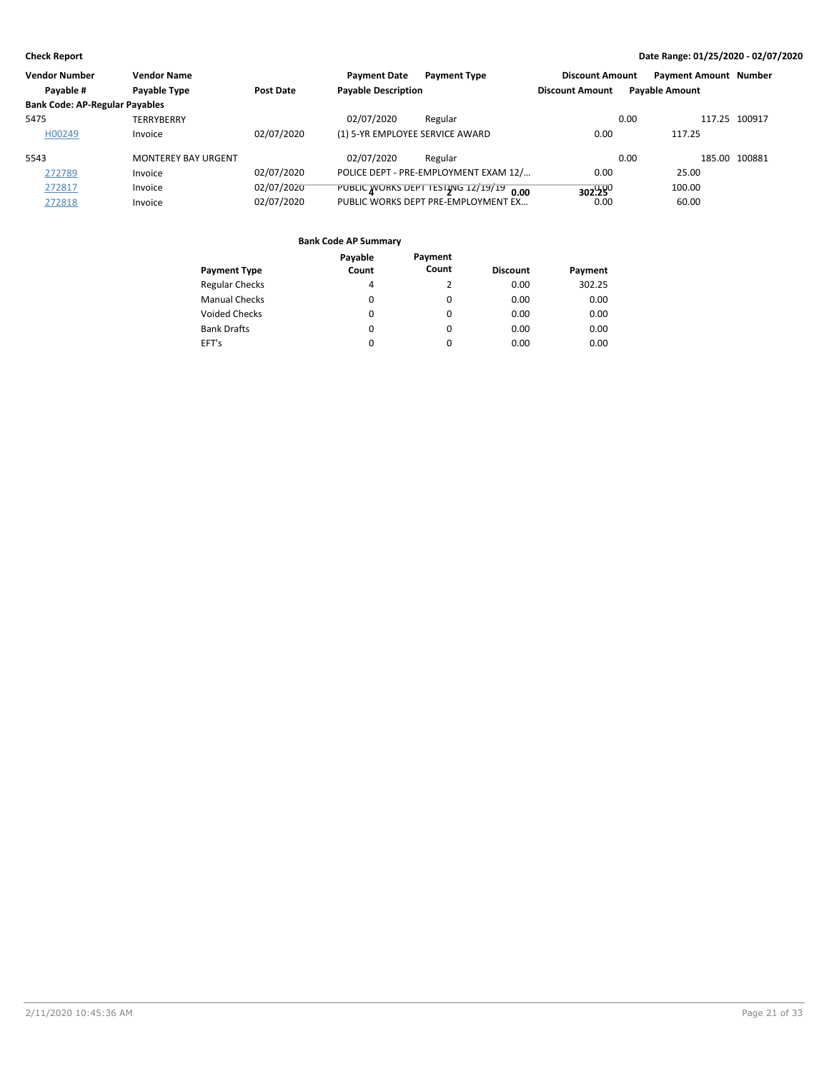| Vendor Number                         | <b>Vendor Name</b>         |            | <b>Payment Date</b>             | <b>Payment Type</b>                     | <b>Discount Amount</b> | <b>Payment Amount Number</b> |               |
|---------------------------------------|----------------------------|------------|---------------------------------|-----------------------------------------|------------------------|------------------------------|---------------|
| Payable #                             | Payable Type               | Post Date  | <b>Pavable Description</b>      |                                         | <b>Discount Amount</b> | <b>Payable Amount</b>        |               |
| <b>Bank Code: AP-Regular Payables</b> |                            |            |                                 |                                         |                        |                              |               |
| 5475                                  | <b>TERRYBERRY</b>          |            | 02/07/2020                      | Regular                                 |                        | 0.00                         | 117.25 100917 |
| H00249                                | Invoice                    | 02/07/2020 | (1) 5-YR EMPLOYEE SERVICE AWARD |                                         | 0.00                   | 117.25                       |               |
| 5543                                  | <b>MONTEREY BAY URGENT</b> |            | 02/07/2020                      | Regular                                 |                        | 0.00                         | 185.00 100881 |
| 272789                                | Invoice                    | 02/07/2020 |                                 | POLICE DEPT - PRE-EMPLOYMENT EXAM 12/   | 0.00                   | 25.00                        |               |
| 272817                                | Invoice                    | 02/07/2020 |                                 | PUBLIC WORKS DEPT TESTING 12/19/19 0.00 | 302.280                | 100.00                       |               |
| 272818                                | Invoice                    | 02/07/2020 |                                 | PUBLIC WORKS DEPT PRE-EMPLOYMENT EX     | 0.00                   | 60.00                        |               |

|                       | Payable | Payment  |                 |         |
|-----------------------|---------|----------|-----------------|---------|
| <b>Payment Type</b>   | Count   | Count    | <b>Discount</b> | Payment |
| <b>Regular Checks</b> | 4       | 2        | 0.00            | 302.25  |
| <b>Manual Checks</b>  | 0       | 0        | 0.00            | 0.00    |
| <b>Voided Checks</b>  | 0       | 0        | 0.00            | 0.00    |
| <b>Bank Drafts</b>    | 0       | $\Omega$ | 0.00            | 0.00    |
| EFT's                 | 0       | 0        | 0.00            | 0.00    |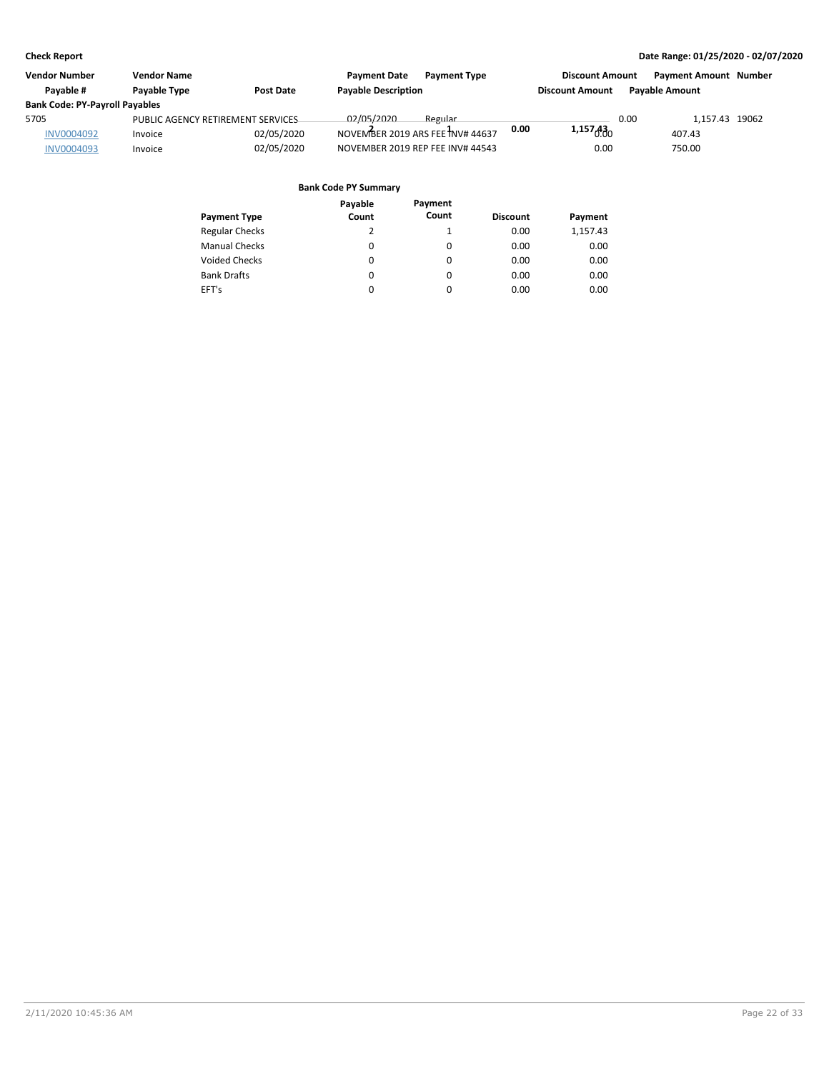| Vendor Number                         | <b>Vendor Name</b>                |                  | <b>Payment Date</b>        | <b>Payment Type</b>              |      | <b>Discount Amount</b> |      | <b>Payment Amount Number</b> |  |
|---------------------------------------|-----------------------------------|------------------|----------------------------|----------------------------------|------|------------------------|------|------------------------------|--|
| Pavable #                             | <b>Pavable Type</b>               | <b>Post Date</b> | <b>Payable Description</b> |                                  |      | <b>Discount Amount</b> |      | <b>Pavable Amount</b>        |  |
| <b>Bank Code: PY-Payroll Payables</b> |                                   |                  |                            |                                  |      |                        |      |                              |  |
| 5705                                  | PUBLIC AGENCY RETIREMENT SERVICES |                  | 02/05/2020                 | Regular                          |      |                        | 0.00 | 1.157.43 19062               |  |
| <b>INV0004092</b>                     | Invoice                           | 02/05/2020       |                            | NOVEMBER 2019 ARS FEE INV# 44637 | 0.00 | 1,157600               |      | 407.43                       |  |
| <b>INV0004093</b>                     | Invoice                           | 02/05/2020       |                            | NOVEMBER 2019 REP FEE INV# 44543 |      | 0.00                   |      | 750.00                       |  |

|                       | Payable | Payment  |                 |          |
|-----------------------|---------|----------|-----------------|----------|
| <b>Payment Type</b>   | Count   | Count    | <b>Discount</b> | Payment  |
| <b>Regular Checks</b> | 2       |          | 0.00            | 1,157.43 |
| <b>Manual Checks</b>  | 0       | 0        | 0.00            | 0.00     |
| <b>Voided Checks</b>  | 0       | 0        | 0.00            | 0.00     |
| <b>Bank Drafts</b>    | 0       | 0        | 0.00            | 0.00     |
| EFT's                 | 0       | $\Omega$ | 0.00            | 0.00     |
|                       |         |          |                 |          |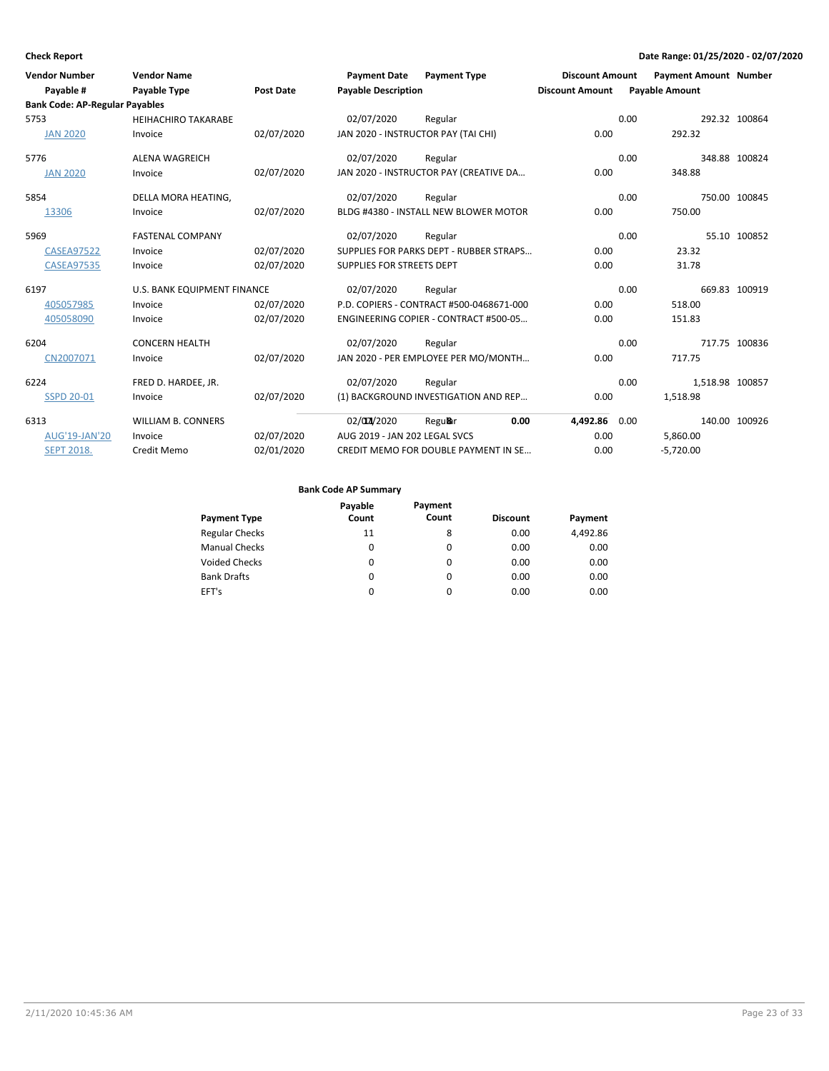| <b>Vendor Number</b>                  | <b>Vendor Name</b>          |                  | <b>Payment Date</b>           | <b>Payment Type</b>                      | <b>Discount Amount</b> |      | <b>Payment Amount Number</b> |               |
|---------------------------------------|-----------------------------|------------------|-------------------------------|------------------------------------------|------------------------|------|------------------------------|---------------|
| Payable #                             | <b>Payable Type</b>         | <b>Post Date</b> | <b>Payable Description</b>    |                                          | <b>Discount Amount</b> |      | <b>Payable Amount</b>        |               |
| <b>Bank Code: AP-Regular Payables</b> |                             |                  |                               |                                          |                        |      |                              |               |
| 5753                                  | <b>HEIHACHIRO TAKARABE</b>  |                  | 02/07/2020                    | Regular                                  |                        | 0.00 |                              | 292.32 100864 |
| <b>JAN 2020</b>                       | Invoice                     | 02/07/2020       |                               | JAN 2020 - INSTRUCTOR PAY (TAI CHI)      | 0.00                   |      | 292.32                       |               |
| 5776                                  | <b>ALENA WAGREICH</b>       |                  | 02/07/2020                    | Regular                                  |                        | 0.00 |                              | 348.88 100824 |
| <b>JAN 2020</b>                       | Invoice                     | 02/07/2020       |                               | JAN 2020 - INSTRUCTOR PAY (CREATIVE DA   | 0.00                   |      | 348.88                       |               |
| 5854                                  | DELLA MORA HEATING,         |                  | 02/07/2020                    | Regular                                  |                        | 0.00 |                              | 750.00 100845 |
| 13306                                 | Invoice                     | 02/07/2020       |                               | BLDG #4380 - INSTALL NEW BLOWER MOTOR    | 0.00                   |      | 750.00                       |               |
| 5969                                  | <b>FASTENAL COMPANY</b>     |                  | 02/07/2020                    | Regular                                  |                        | 0.00 |                              | 55.10 100852  |
| <b>CASEA97522</b>                     | Invoice                     | 02/07/2020       |                               | SUPPLIES FOR PARKS DEPT - RUBBER STRAPS  | 0.00                   |      | 23.32                        |               |
| <b>CASEA97535</b>                     | Invoice                     | 02/07/2020       | SUPPLIES FOR STREETS DEPT     |                                          | 0.00                   |      | 31.78                        |               |
| 6197                                  | U.S. BANK EQUIPMENT FINANCE |                  | 02/07/2020                    | Regular                                  |                        | 0.00 |                              | 669.83 100919 |
| 405057985                             | Invoice                     | 02/07/2020       |                               | P.D. COPIERS - CONTRACT #500-0468671-000 | 0.00                   |      | 518.00                       |               |
| 405058090                             | Invoice                     | 02/07/2020       |                               | ENGINEERING COPIER - CONTRACT #500-05    | 0.00                   |      | 151.83                       |               |
| 6204                                  | <b>CONCERN HEALTH</b>       |                  | 02/07/2020                    | Regular                                  |                        | 0.00 |                              | 717.75 100836 |
| CN2007071                             | Invoice                     | 02/07/2020       |                               | JAN 2020 - PER EMPLOYEE PER MO/MONTH     | 0.00                   |      | 717.75                       |               |
| 6224                                  | FRED D. HARDEE, JR.         |                  | 02/07/2020                    | Regular                                  |                        | 0.00 | 1,518.98 100857              |               |
| <b>SSPD 20-01</b>                     | Invoice                     | 02/07/2020       |                               | (1) BACKGROUND INVESTIGATION AND REP     | 0.00                   |      | 1,518.98                     |               |
| 6313                                  | <b>WILLIAM B. CONNERS</b>   |                  | 02/07/2020                    | 0.00<br>Regular                          | 4,492.86               | 0.00 |                              | 140.00 100926 |
| <b>AUG'19-JAN'20</b>                  | Invoice                     | 02/07/2020       | AUG 2019 - JAN 202 LEGAL SVCS |                                          | 0.00                   |      | 5,860.00                     |               |
| <b>SEPT 2018.</b>                     | Credit Memo                 | 02/01/2020       |                               | CREDIT MEMO FOR DOUBLE PAYMENT IN SE     | 0.00                   |      | $-5,720.00$                  |               |

| <b>Payment Type</b>   | Payable<br>Count | Payment<br>Count | <b>Discount</b> | Payment  |
|-----------------------|------------------|------------------|-----------------|----------|
| <b>Regular Checks</b> | 11               | 8                | 0.00            | 4,492.86 |
| <b>Manual Checks</b>  | 0                | $\Omega$         | 0.00            | 0.00     |
| <b>Voided Checks</b>  | 0                | 0                | 0.00            | 0.00     |
| <b>Bank Drafts</b>    | 0                | $\Omega$         | 0.00            | 0.00     |
| EFT's                 | 0                | 0                | 0.00            | 0.00     |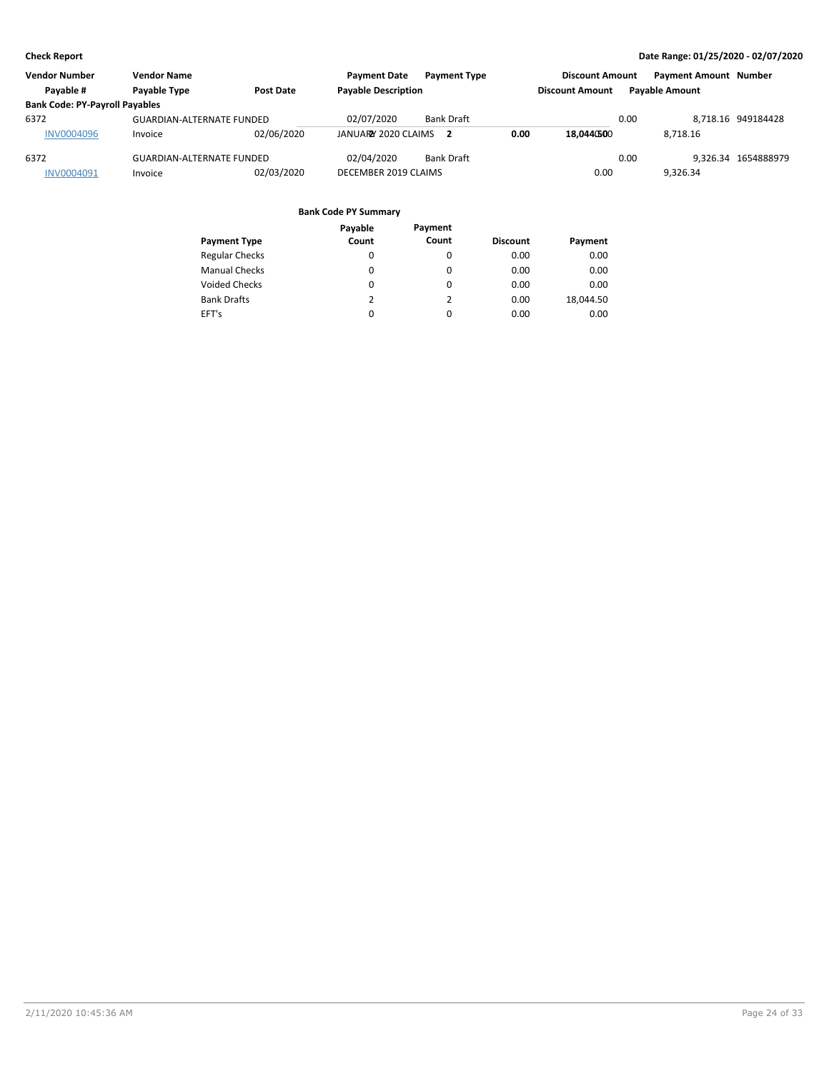| <b>Vendor Number</b>                  | <b>Vendor Name</b>               |                  | <b>Payment Date</b>        | <b>Payment Type</b> |      | <b>Discount Amount</b> |      | <b>Payment Amount Number</b> |                     |
|---------------------------------------|----------------------------------|------------------|----------------------------|---------------------|------|------------------------|------|------------------------------|---------------------|
| Pavable #                             | <b>Pavable Type</b>              | <b>Post Date</b> | <b>Payable Description</b> |                     |      | <b>Discount Amount</b> |      | <b>Pavable Amount</b>        |                     |
| <b>Bank Code: PY-Payroll Payables</b> |                                  |                  |                            |                     |      |                        |      |                              |                     |
| 6372                                  | <b>GUARDIAN-ALTERNATE FUNDED</b> |                  | 02/07/2020                 | <b>Bank Draft</b>   |      |                        | 0.00 |                              | 8.718.16 949184428  |
| <b>INV0004096</b>                     | Invoice                          | 02/06/2020       | JANUARY 2020 CLAIMS        |                     | 0.00 | 18.0440500             |      | 8.718.16                     |                     |
| 6372                                  | <b>GUARDIAN-ALTERNATE FUNDED</b> |                  | 02/04/2020                 | <b>Bank Draft</b>   |      |                        | 0.00 |                              | 9.326.34 1654888979 |
| INV0004091                            | Invoice                          | 02/03/2020       | DECEMBER 2019 CLAIMS       |                     |      | 0.00                   |      | 9.326.34                     |                     |

|                       | Payable  | Payment  |                 |           |
|-----------------------|----------|----------|-----------------|-----------|
| <b>Payment Type</b>   | Count    | Count    | <b>Discount</b> | Payment   |
| <b>Regular Checks</b> | 0        | 0        | 0.00            | 0.00      |
| <b>Manual Checks</b>  | $\Omega$ | 0        | 0.00            | 0.00      |
| <b>Voided Checks</b>  | 0        | $\Omega$ | 0.00            | 0.00      |
| <b>Bank Drafts</b>    | 2        | 2        | 0.00            | 18.044.50 |
| EFT's                 | 0        | $\Omega$ | 0.00            | 0.00      |
|                       |          |          |                 |           |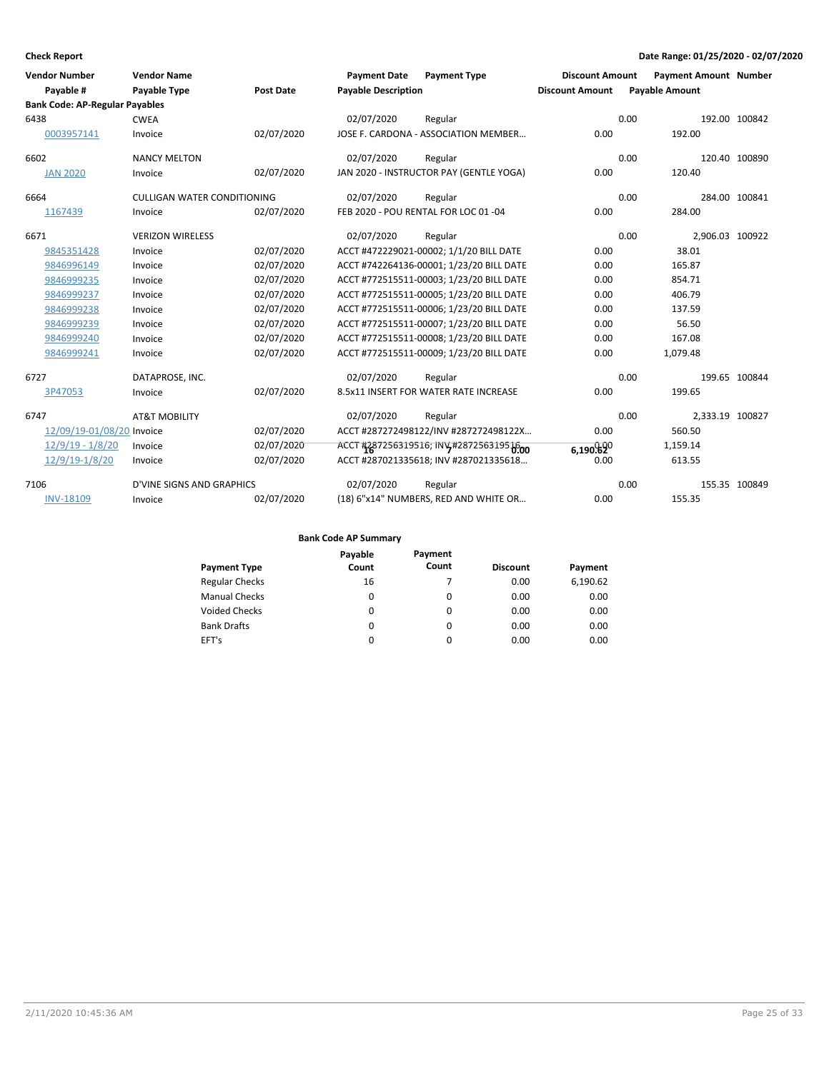| <b>Vendor Number</b>                  | <b>Vendor Name</b>                 |                  | <b>Payment Date</b>        | <b>Payment Type</b>                      | <b>Discount Amount</b> |      | <b>Payment Amount Number</b> |               |
|---------------------------------------|------------------------------------|------------------|----------------------------|------------------------------------------|------------------------|------|------------------------------|---------------|
| Payable #                             | Payable Type                       | <b>Post Date</b> | <b>Payable Description</b> |                                          | <b>Discount Amount</b> |      | <b>Payable Amount</b>        |               |
| <b>Bank Code: AP-Regular Payables</b> |                                    |                  |                            |                                          |                        |      |                              |               |
| 6438                                  | <b>CWEA</b>                        |                  | 02/07/2020                 | Regular                                  |                        | 0.00 |                              | 192.00 100842 |
| 0003957141                            | Invoice                            | 02/07/2020       |                            | JOSE F. CARDONA - ASSOCIATION MEMBER     | 0.00                   |      | 192.00                       |               |
| 6602                                  | <b>NANCY MELTON</b>                |                  | 02/07/2020                 | Regular                                  |                        | 0.00 |                              | 120.40 100890 |
| <b>JAN 2020</b>                       | Invoice                            | 02/07/2020       |                            | JAN 2020 - INSTRUCTOR PAY (GENTLE YOGA)  | 0.00                   |      | 120.40                       |               |
| 6664                                  | <b>CULLIGAN WATER CONDITIONING</b> |                  | 02/07/2020                 | Regular                                  |                        | 0.00 |                              | 284.00 100841 |
| 1167439                               | Invoice                            | 02/07/2020       |                            | FEB 2020 - POU RENTAL FOR LOC 01 -04     | 0.00                   |      | 284.00                       |               |
| 6671                                  | <b>VERIZON WIRELESS</b>            |                  | 02/07/2020                 | Regular                                  |                        | 0.00 | 2,906.03 100922              |               |
| 9845351428                            | Invoice                            | 02/07/2020       |                            | ACCT #472229021-00002; 1/1/20 BILL DATE  | 0.00                   |      | 38.01                        |               |
| 9846996149                            | Invoice                            | 02/07/2020       |                            | ACCT #742264136-00001; 1/23/20 BILL DATE | 0.00                   |      | 165.87                       |               |
| 9846999235                            | Invoice                            | 02/07/2020       |                            | ACCT #772515511-00003; 1/23/20 BILL DATE | 0.00                   |      | 854.71                       |               |
| 9846999237                            | Invoice                            | 02/07/2020       |                            | ACCT #772515511-00005; 1/23/20 BILL DATE | 0.00                   |      | 406.79                       |               |
| 9846999238                            | Invoice                            | 02/07/2020       |                            | ACCT #772515511-00006; 1/23/20 BILL DATE | 0.00                   |      | 137.59                       |               |
| 9846999239                            | Invoice                            | 02/07/2020       |                            | ACCT #772515511-00007; 1/23/20 BILL DATE | 0.00                   |      | 56.50                        |               |
| 9846999240                            | Invoice                            | 02/07/2020       |                            | ACCT #772515511-00008; 1/23/20 BILL DATE | 0.00                   |      | 167.08                       |               |
| 9846999241                            | Invoice                            | 02/07/2020       |                            | ACCT #772515511-00009; 1/23/20 BILL DATE | 0.00                   |      | 1,079.48                     |               |
| 6727                                  | DATAPROSE, INC.                    |                  | 02/07/2020                 | Regular                                  |                        | 0.00 |                              | 199.65 100844 |
| 3P47053                               | Invoice                            | 02/07/2020       |                            | 8.5x11 INSERT FOR WATER RATE INCREASE    | 0.00                   |      | 199.65                       |               |
| 6747                                  | <b>AT&amp;T MOBILITY</b>           |                  | 02/07/2020                 | Regular                                  |                        | 0.00 | 2,333.19 100827              |               |
| 12/09/19-01/08/20 Invoice             |                                    | 02/07/2020       |                            | ACCT #287272498122/INV #287272498122X    | 0.00                   |      | 560.50                       |               |
| $12/9/19 - 1/8/20$                    | Invoice                            | 02/07/2020       |                            | ACCT #287256319516; INV4#287256319516    | 6,190.620              |      | 1,159.14                     |               |
| 12/9/19-1/8/20                        | Invoice                            | 02/07/2020       |                            | ACCT #287021335618; INV #287021335618    | 0.00                   |      | 613.55                       |               |
| 7106                                  | <b>D'VINE SIGNS AND GRAPHICS</b>   |                  | 02/07/2020                 | Regular                                  |                        | 0.00 |                              | 155.35 100849 |
| <b>INV-18109</b>                      | Invoice                            | 02/07/2020       |                            | (18) 6"x14" NUMBERS, RED AND WHITE OR    | 0.00                   |      | 155.35                       |               |

|                       | Payable | Payment  |                 |          |
|-----------------------|---------|----------|-----------------|----------|
| <b>Payment Type</b>   | Count   | Count    | <b>Discount</b> | Payment  |
| <b>Regular Checks</b> | 16      |          | 0.00            | 6,190.62 |
| <b>Manual Checks</b>  | 0       | $\Omega$ | 0.00            | 0.00     |
| <b>Voided Checks</b>  | 0       | $\Omega$ | 0.00            | 0.00     |
| <b>Bank Drafts</b>    | 0       | $\Omega$ | 0.00            | 0.00     |
| EFT's                 | 0       | $\Omega$ | 0.00            | 0.00     |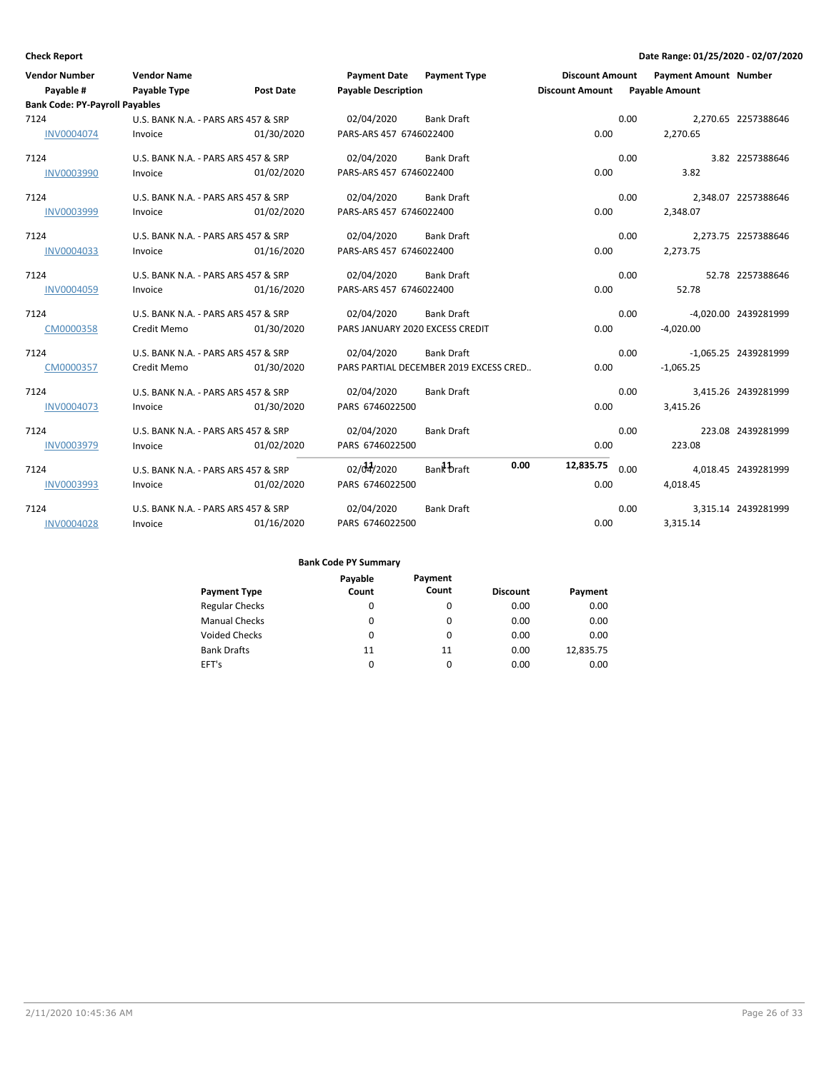| <b>Vendor Number</b>                  | <b>Vendor Name</b>                  |                  | Payment Date Payment Type              |                   |      | <b>Discount Amount</b>         |      | <b>Payment Amount Number</b> |                      |
|---------------------------------------|-------------------------------------|------------------|----------------------------------------|-------------------|------|--------------------------------|------|------------------------------|----------------------|
| Payable #                             | Payable Type                        | <b>Post Date</b> | <b>Payable Description</b>             |                   |      | Discount Amount Payable Amount |      |                              |                      |
| <b>Bank Code: PY-Payroll Payables</b> |                                     |                  |                                        |                   |      |                                |      |                              |                      |
| 7124                                  | U.S. BANK N.A. - PARS ARS 457 & SRP |                  | 02/04/2020                             | <b>Bank Draft</b> |      |                                | 0.00 |                              | 2,270.65 2257388646  |
| INV0004074                            | Invoice                             | 01/30/2020       | PARS-ARS 457 6746022400                |                   |      | 0.00                           |      | 2.270.65                     |                      |
| 7124                                  | U.S. BANK N.A. - PARS ARS 457 & SRP |                  | 02/04/2020                             | <b>Bank Draft</b> |      |                                | 0.00 |                              | 3.82 2257388646      |
| <b>INV0003990</b>                     | Invoice                             | 01/02/2020       | PARS-ARS 457 6746022400                |                   |      | 0.00                           |      | 3.82                         |                      |
| 7124                                  | U.S. BANK N.A. - PARS ARS 457 & SRP |                  | 02/04/2020                             | <b>Bank Draft</b> |      |                                | 0.00 |                              | 2,348.07 2257388646  |
| INV0003999                            | Invoice                             | 01/02/2020       | PARS-ARS 457 6746022400                |                   |      | 0.00                           |      | 2,348.07                     |                      |
| 7124                                  | U.S. BANK N.A. - PARS ARS 457 & SRP |                  | 02/04/2020                             | <b>Bank Draft</b> |      |                                | 0.00 |                              | 2,273.75 2257388646  |
| INV0004033                            | Invoice                             | 01/16/2020       | PARS-ARS 457 6746022400                |                   |      | 0.00                           |      | 2,273.75                     |                      |
| 7124                                  | U.S. BANK N.A. - PARS ARS 457 & SRP |                  | 02/04/2020                             | <b>Bank Draft</b> |      |                                | 0.00 |                              | 52.78 2257388646     |
| <b>INV0004059</b>                     | Invoice                             | 01/16/2020       | PARS-ARS 457 6746022400                |                   |      | 0.00                           |      | 52.78                        |                      |
| 7124                                  | U.S. BANK N.A. - PARS ARS 457 & SRP |                  | 02/04/2020                             | <b>Bank Draft</b> |      |                                | 0.00 |                              | -4.020.00 2439281999 |
| CM0000358                             | Credit Memo                         | 01/30/2020       | PARS JANUARY 2020 EXCESS CREDIT        |                   |      | 0.00                           |      | $-4,020.00$                  |                      |
| 7124                                  | U.S. BANK N.A. - PARS ARS 457 & SRP |                  | 02/04/2020                             | <b>Bank Draft</b> |      |                                | 0.00 |                              | -1,065.25 2439281999 |
| CM0000357                             | Credit Memo                         | 01/30/2020       | PARS PARTIAL DECEMBER 2019 EXCESS CRED |                   |      | 0.00                           |      | $-1,065.25$                  |                      |
| 7124                                  | U.S. BANK N.A. - PARS ARS 457 & SRP |                  | 02/04/2020                             | <b>Bank Draft</b> |      |                                | 0.00 |                              | 3,415.26 2439281999  |
| <b>INV0004073</b>                     | Invoice                             | 01/30/2020       | PARS 6746022500                        |                   |      | 0.00                           |      | 3,415.26                     |                      |
| 7124                                  | U.S. BANK N.A. - PARS ARS 457 & SRP |                  | 02/04/2020                             | <b>Bank Draft</b> |      |                                | 0.00 |                              | 223.08 2439281999    |
| INV0003979                            | Invoice                             | 01/02/2020       | PARS 6746022500                        |                   |      | 0.00                           |      | 223.08                       |                      |
| 7124                                  | U.S. BANK N.A. - PARS ARS 457 & SRP |                  | 02/04/2020                             | Bank braft        | 0.00 | 12,835.75                      | 0.00 |                              | 4.018.45 2439281999  |
| INV0003993                            | Invoice                             | 01/02/2020       | PARS 6746022500                        |                   |      | 0.00                           |      | 4,018.45                     |                      |
| 7124                                  | U.S. BANK N.A. - PARS ARS 457 & SRP |                  | 02/04/2020                             | <b>Bank Draft</b> |      |                                | 0.00 |                              | 3,315.14 2439281999  |
| <b>INV0004028</b>                     | Invoice                             | 01/16/2020       | PARS 6746022500                        |                   |      | 0.00                           |      | 3,315.14                     |                      |

|                       | Payable | Payment  |                 |           |
|-----------------------|---------|----------|-----------------|-----------|
| <b>Payment Type</b>   | Count   | Count    | <b>Discount</b> | Payment   |
| <b>Regular Checks</b> | 0       | $\Omega$ | 0.00            | 0.00      |
| <b>Manual Checks</b>  | 0       | 0        | 0.00            | 0.00      |
| <b>Voided Checks</b>  | 0       | $\Omega$ | 0.00            | 0.00      |
| <b>Bank Drafts</b>    | 11      | 11       | 0.00            | 12,835.75 |
| EFT's                 | 0       | $\Omega$ | 0.00            | 0.00      |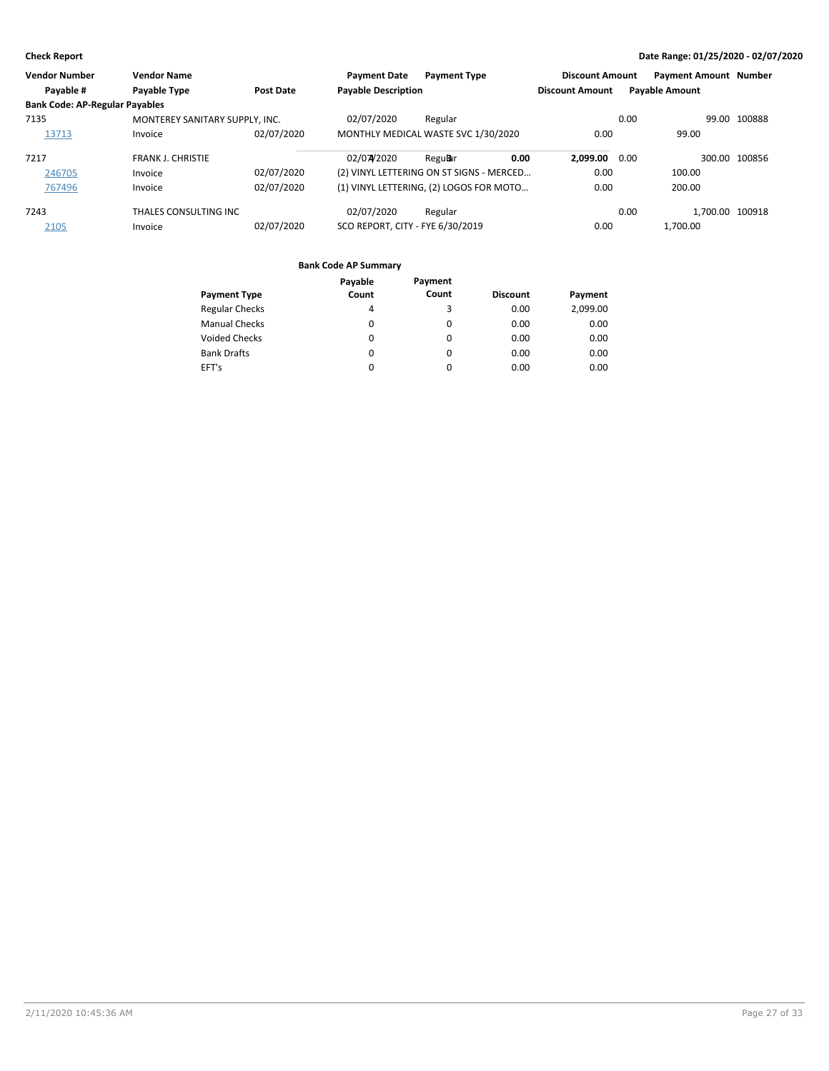| <b>Vendor Number</b>                  | <b>Vendor Name</b>             |            | <b>Payment Date</b>              | <b>Payment Type</b>                      | <b>Discount Amount</b> |      | <b>Payment Amount Number</b> |               |
|---------------------------------------|--------------------------------|------------|----------------------------------|------------------------------------------|------------------------|------|------------------------------|---------------|
| Payable #                             | Payable Type                   | Post Date  | <b>Payable Description</b>       |                                          | <b>Discount Amount</b> |      | <b>Payable Amount</b>        |               |
| <b>Bank Code: AP-Regular Payables</b> |                                |            |                                  |                                          |                        |      |                              |               |
| 7135                                  | MONTEREY SANITARY SUPPLY, INC. |            | 02/07/2020                       | Regular                                  |                        | 0.00 |                              | 99.00 100888  |
| 13713                                 | Invoice                        | 02/07/2020 |                                  | MONTHLY MEDICAL WASTE SVC 1/30/2020      | 0.00                   |      | 99.00                        |               |
| 7217                                  | <b>FRANK J. CHRISTIE</b>       |            | 02/07/2020                       | 0.00<br>Regu <b>B</b> ar                 | 2.099.00 0.00          |      |                              | 300.00 100856 |
| 246705                                | Invoice                        | 02/07/2020 |                                  | (2) VINYL LETTERING ON ST SIGNS - MERCED | 0.00                   |      | 100.00                       |               |
| 767496                                | Invoice                        | 02/07/2020 |                                  | (1) VINYL LETTERING, (2) LOGOS FOR MOTO  | 0.00                   |      | 200.00                       |               |
| 7243                                  | THALES CONSULTING INC          |            | 02/07/2020                       | Regular                                  |                        | 0.00 | 1.700.00 100918              |               |
| 2105                                  | Invoice                        | 02/07/2020 | SCO REPORT, CITY - FYE 6/30/2019 |                                          | 0.00                   |      | 1.700.00                     |               |

|                       | Payable | Payment  |                 |          |
|-----------------------|---------|----------|-----------------|----------|
| <b>Payment Type</b>   | Count   | Count    | <b>Discount</b> | Payment  |
| <b>Regular Checks</b> | 4       | 3        | 0.00            | 2,099.00 |
| <b>Manual Checks</b>  | 0       | 0        | 0.00            | 0.00     |
| <b>Voided Checks</b>  | 0       | $\Omega$ | 0.00            | 0.00     |
| <b>Bank Drafts</b>    | 0       | $\Omega$ | 0.00            | 0.00     |
| EFT's                 | 0       | 0        | 0.00            | 0.00     |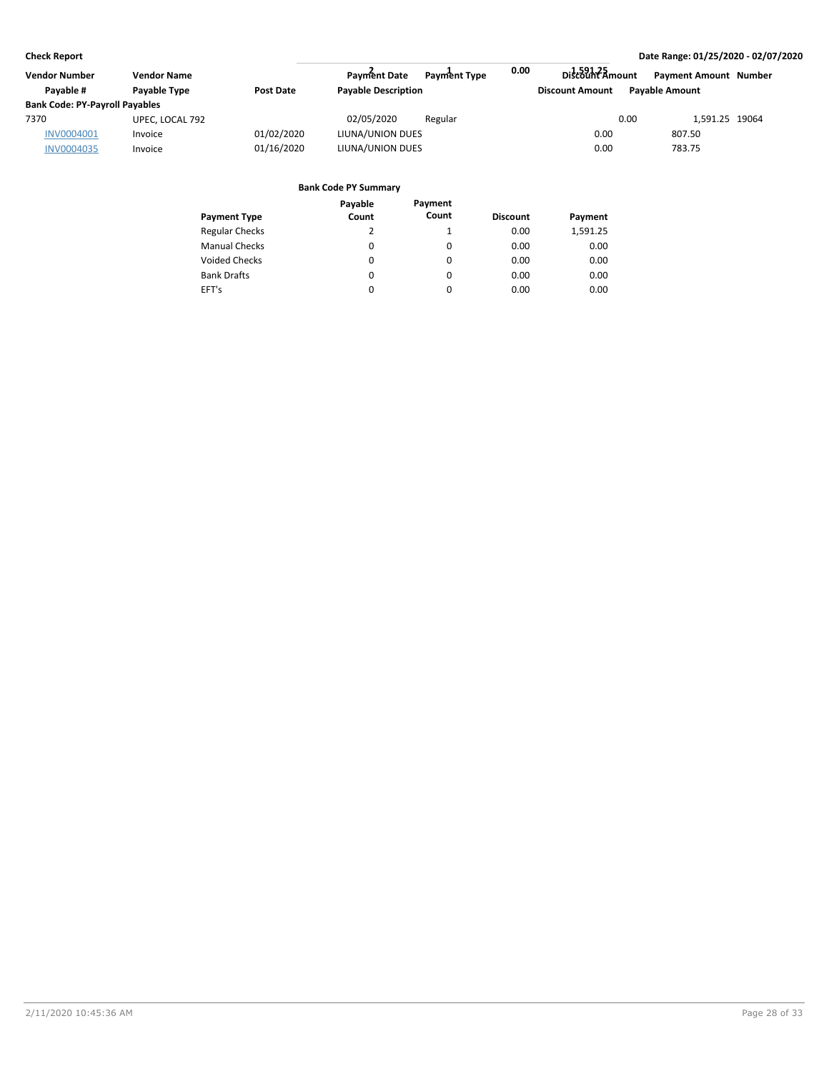| <b>Vendor Number</b>                  | <b>Vendor Name</b> |                  | Payment Date               | <b>Payment Type</b> | 0.00 | Discount Amount        |      | <b>Payment Amount Number</b> |  |
|---------------------------------------|--------------------|------------------|----------------------------|---------------------|------|------------------------|------|------------------------------|--|
| Pavable #                             | Payable Type       | <b>Post Date</b> | <b>Payable Description</b> |                     |      | <b>Discount Amount</b> |      | <b>Payable Amount</b>        |  |
| <b>Bank Code: PY-Payroll Payables</b> |                    |                  |                            |                     |      |                        |      |                              |  |
| 7370                                  | UPEC, LOCAL 792    |                  | 02/05/2020                 | Regular             |      |                        | 0.00 | 1.591.25 19064               |  |
| INV0004001                            | Invoice            | 01/02/2020       | LIUNA/UNION DUES           |                     |      | 0.00                   |      | 807.50                       |  |
| <b>INV0004035</b>                     | Invoice            | 01/16/2020       | LIUNA/UNION DUES           |                     |      | 0.00                   |      | 783.75                       |  |

|                       | Payable | Payment  |                 |          |
|-----------------------|---------|----------|-----------------|----------|
| <b>Payment Type</b>   | Count   | Count    | <b>Discount</b> | Payment  |
| <b>Regular Checks</b> | 2       | 1        | 0.00            | 1,591.25 |
| <b>Manual Checks</b>  | 0       | 0        | 0.00            | 0.00     |
| <b>Voided Checks</b>  | 0       | $\Omega$ | 0.00            | 0.00     |
| <b>Bank Drafts</b>    | 0       | $\Omega$ | 0.00            | 0.00     |
| EFT's                 | 0       | 0        | 0.00            | 0.00     |
|                       |         |          |                 |          |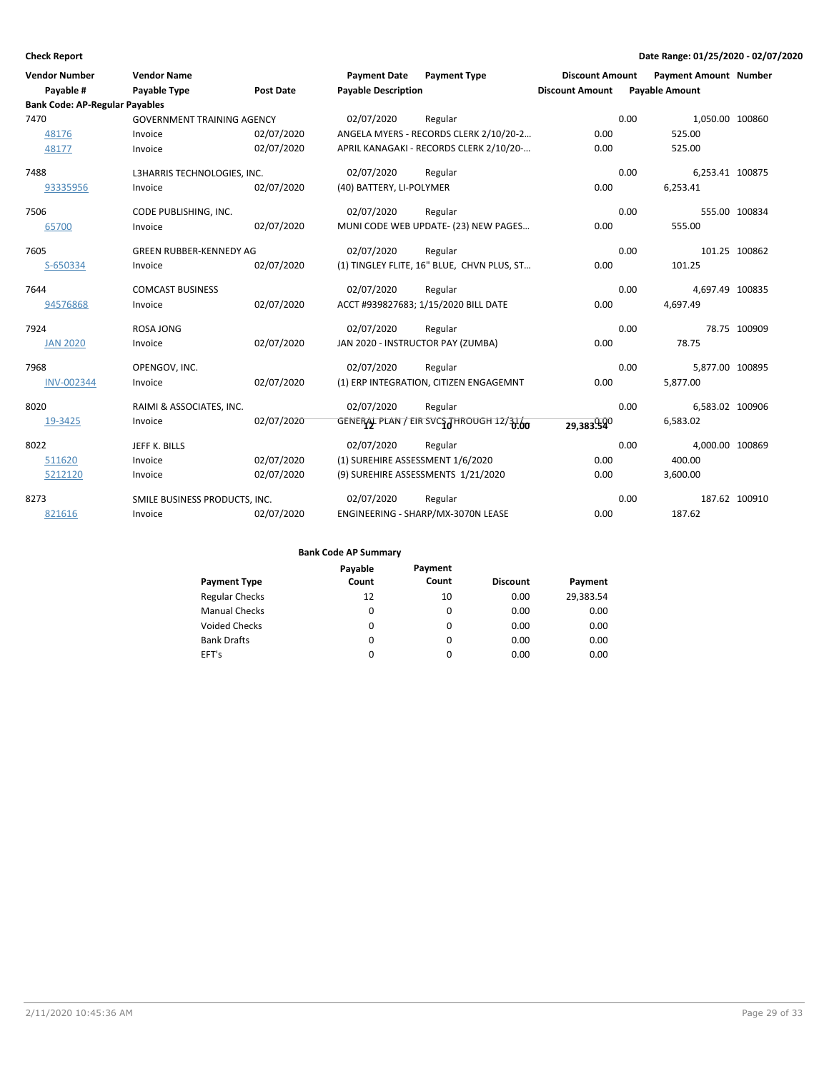| <b>Vendor Number</b>                  | <b>Vendor Name</b>                |                  | <b>Payment Date</b>              | <b>Payment Type</b>                        | <b>Discount Amount</b> | <b>Payment Amount Number</b> |               |
|---------------------------------------|-----------------------------------|------------------|----------------------------------|--------------------------------------------|------------------------|------------------------------|---------------|
| Payable #                             | Payable Type                      | <b>Post Date</b> | <b>Payable Description</b>       |                                            | <b>Discount Amount</b> | <b>Payable Amount</b>        |               |
| <b>Bank Code: AP-Regular Payables</b> |                                   |                  |                                  |                                            |                        |                              |               |
| 7470                                  | <b>GOVERNMENT TRAINING AGENCY</b> |                  | 02/07/2020                       | Regular                                    |                        | 0.00<br>1,050.00 100860      |               |
| 48176                                 | Invoice                           | 02/07/2020       |                                  | ANGELA MYERS - RECORDS CLERK 2/10/20-2     | 0.00                   | 525.00                       |               |
| 48177                                 | Invoice                           | 02/07/2020       |                                  | APRIL KANAGAKI - RECORDS CLERK 2/10/20-    | 0.00                   | 525.00                       |               |
| 7488                                  | L3HARRIS TECHNOLOGIES, INC.       |                  | 02/07/2020                       | Regular                                    |                        | 0.00<br>6,253.41 100875      |               |
| 93335956                              | Invoice                           | 02/07/2020       | (40) BATTERY, LI-POLYMER         |                                            | 0.00                   | 6,253.41                     |               |
| 7506                                  | CODE PUBLISHING, INC.             |                  | 02/07/2020                       | Regular                                    |                        | 0.00                         | 555.00 100834 |
| 65700                                 | Invoice                           | 02/07/2020       |                                  | MUNI CODE WEB UPDATE- (23) NEW PAGES       | 0.00                   | 555.00                       |               |
| 7605                                  | <b>GREEN RUBBER-KENNEDY AG</b>    |                  | 02/07/2020                       | Regular                                    |                        | 0.00                         | 101.25 100862 |
| S-650334                              | Invoice                           | 02/07/2020       |                                  | (1) TINGLEY FLITE, 16" BLUE, CHVN PLUS, ST | 0.00                   | 101.25                       |               |
| 7644                                  | <b>COMCAST BUSINESS</b>           |                  | 02/07/2020                       | Regular                                    |                        | 0.00<br>4,697.49 100835      |               |
| 94576868                              | Invoice                           | 02/07/2020       |                                  | ACCT #939827683; 1/15/2020 BILL DATE       | 0.00                   | 4,697.49                     |               |
| 7924                                  | <b>ROSA JONG</b>                  |                  | 02/07/2020                       | Regular                                    |                        | 0.00                         | 78.75 100909  |
| <b>JAN 2020</b>                       | Invoice                           | 02/07/2020       |                                  | JAN 2020 - INSTRUCTOR PAY (ZUMBA)          | 0.00                   | 78.75                        |               |
| 7968                                  | OPENGOV, INC.                     |                  | 02/07/2020                       | Regular                                    |                        | 5,877.00 100895<br>0.00      |               |
| <b>INV-002344</b>                     | Invoice                           | 02/07/2020       |                                  | (1) ERP INTEGRATION, CITIZEN ENGAGEMNT     | 0.00                   | 5,877.00                     |               |
| 8020                                  | RAIMI & ASSOCIATES, INC.          |                  | 02/07/2020                       | Regular                                    |                        | 0.00<br>6,583.02 100906      |               |
| 19-3425                               | Invoice                           | 02/07/2020       |                                  | GENERAL PLAN / EIR SVCS THROUGH 12/3160    | 29,383.540             | 6,583.02                     |               |
| 8022                                  | JEFF K. BILLS                     |                  | 02/07/2020                       | Regular                                    |                        | 0.00<br>4,000.00 100869      |               |
| 511620                                | Invoice                           | 02/07/2020       | (1) SUREHIRE ASSESSMENT 1/6/2020 |                                            | 0.00                   | 400.00                       |               |
| 5212120                               | Invoice                           | 02/07/2020       |                                  | (9) SUREHIRE ASSESSMENTS 1/21/2020         | 0.00                   | 3,600.00                     |               |
| 8273                                  | SMILE BUSINESS PRODUCTS, INC.     |                  | 02/07/2020                       | Regular                                    |                        | 0.00                         | 187.62 100910 |
| 821616                                | Invoice                           | 02/07/2020       |                                  | ENGINEERING - SHARP/MX-3070N LEASE         | 0.00                   | 187.62                       |               |

|                       | Payable | Payment  |                 |           |
|-----------------------|---------|----------|-----------------|-----------|
| <b>Payment Type</b>   | Count   | Count    | <b>Discount</b> | Payment   |
| <b>Regular Checks</b> | 12      | 10       | 0.00            | 29,383.54 |
| <b>Manual Checks</b>  | 0       | 0        | 0.00            | 0.00      |
| <b>Voided Checks</b>  | 0       | 0        | 0.00            | 0.00      |
| <b>Bank Drafts</b>    | 0       | $\Omega$ | 0.00            | 0.00      |
| EFT's                 | 0       | 0        | 0.00            | 0.00      |
|                       |         |          |                 |           |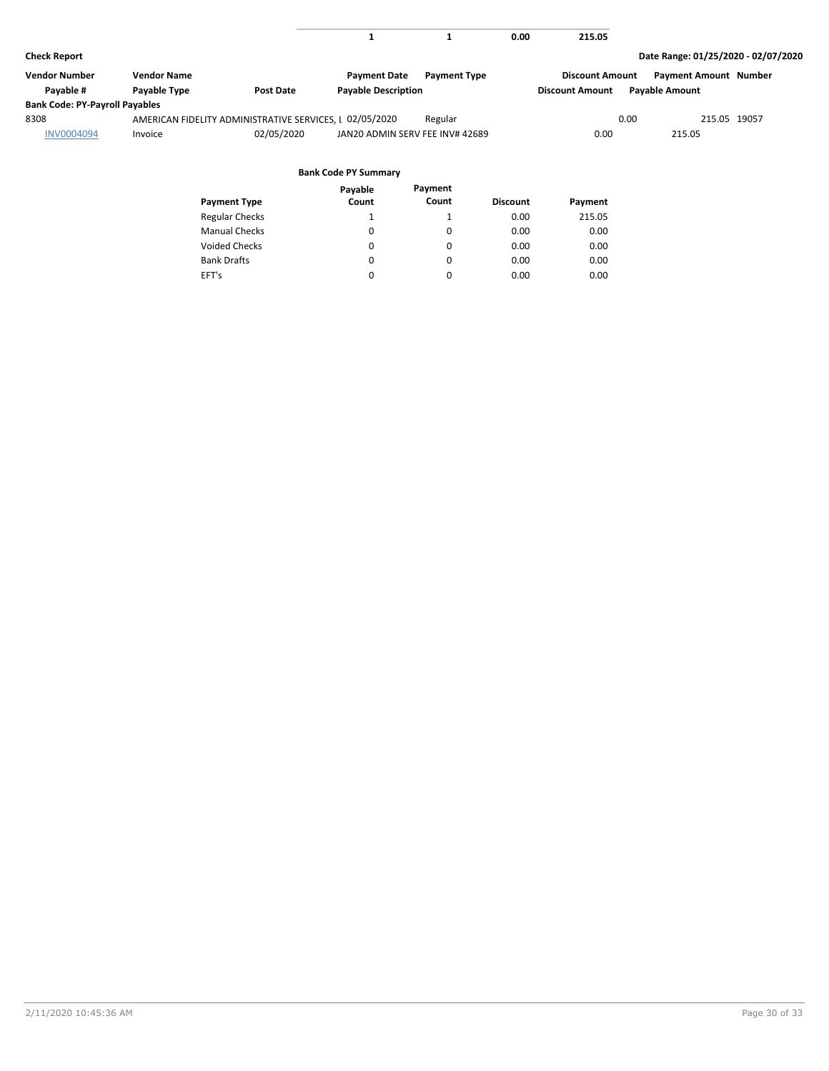|                                       |                    |                                                         |                                 |                     | 0.00 | 215.05                 |                                     |  |
|---------------------------------------|--------------------|---------------------------------------------------------|---------------------------------|---------------------|------|------------------------|-------------------------------------|--|
| <b>Check Report</b>                   |                    |                                                         |                                 |                     |      |                        | Date Range: 01/25/2020 - 02/07/2020 |  |
| <b>Vendor Number</b>                  | <b>Vendor Name</b> |                                                         | <b>Payment Date</b>             | <b>Payment Type</b> |      | <b>Discount Amount</b> | <b>Payment Amount Number</b>        |  |
| Payable #                             | Payable Type       | Post Date                                               | <b>Payable Description</b>      |                     |      | <b>Discount Amount</b> | <b>Payable Amount</b>               |  |
| <b>Bank Code: PY-Payroll Payables</b> |                    |                                                         |                                 |                     |      |                        |                                     |  |
| 8308                                  |                    | AMERICAN FIDELITY ADMINISTRATIVE SERVICES, I 02/05/2020 |                                 | Regular             |      | 0.00                   | 215.05 19057                        |  |
| INV0004094                            | Invoice            | 02/05/2020                                              | JAN20 ADMIN SERV FEE INV# 42689 |                     |      | 0.00                   | 215.05                              |  |
|                                       |                    |                                                         | <b>Bank Code PY Summary</b>     |                     |      |                        |                                     |  |
|                                       |                    |                                                         | Payable                         | Payment             |      |                        |                                     |  |

|                       | rayaure  | .        |                 |         |
|-----------------------|----------|----------|-----------------|---------|
| <b>Payment Type</b>   | Count    | Count    | <b>Discount</b> | Payment |
| <b>Regular Checks</b> |          | 1        | 0.00            | 215.05  |
| <b>Manual Checks</b>  | $\Omega$ | $\Omega$ | 0.00            | 0.00    |
| <b>Voided Checks</b>  | 0        | 0        | 0.00            | 0.00    |
| <b>Bank Drafts</b>    | 0        | 0        | 0.00            | 0.00    |
| EFT's                 | 0        | 0        | 0.00            | 0.00    |
|                       |          |          |                 |         |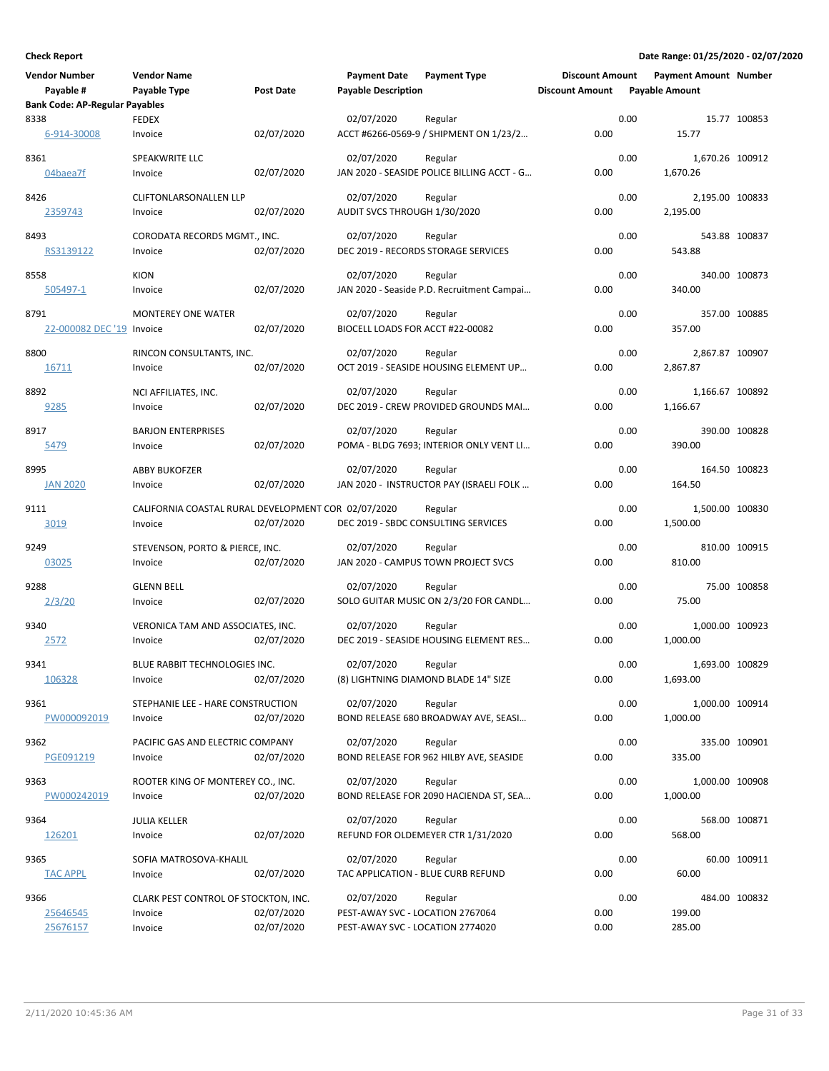| <b>Vendor Number</b>                  | <b>Vendor Name</b>                                  |                  | <b>Payment Date</b>                            | <b>Payment Type</b>                                | <b>Discount Amount</b> |      | <b>Payment Amount Number</b> |               |
|---------------------------------------|-----------------------------------------------------|------------------|------------------------------------------------|----------------------------------------------------|------------------------|------|------------------------------|---------------|
| Payable #                             | Payable Type                                        | <b>Post Date</b> | <b>Payable Description</b>                     |                                                    | <b>Discount Amount</b> |      | <b>Pavable Amount</b>        |               |
| <b>Bank Code: AP-Regular Payables</b> |                                                     |                  | 02/07/2020                                     | Regular                                            |                        | 0.00 |                              |               |
| 8338<br>6-914-30008                   | FEDEX<br>Invoice                                    | 02/07/2020       |                                                | ACCT #6266-0569-9 / SHIPMENT ON 1/23/2             | 0.00                   |      | 15.77                        | 15.77 100853  |
| 8361                                  | SPEAKWRITE LLC                                      |                  | 02/07/2020                                     | Regular                                            |                        | 0.00 | 1,670.26 100912              |               |
| 04baea7f                              | Invoice                                             | 02/07/2020       |                                                | JAN 2020 - SEASIDE POLICE BILLING ACCT - G         | 0.00                   |      | 1,670.26                     |               |
| 8426                                  | <b>CLIFTONLARSONALLEN LLP</b>                       |                  | 02/07/2020                                     | Regular                                            |                        | 0.00 | 2,195.00 100833              |               |
| 2359743                               | Invoice                                             | 02/07/2020       | AUDIT SVCS THROUGH 1/30/2020                   |                                                    | 0.00                   |      | 2,195.00                     |               |
| 8493                                  | CORODATA RECORDS MGMT., INC.                        |                  | 02/07/2020                                     | Regular                                            |                        | 0.00 |                              | 543.88 100837 |
| RS3139122                             | Invoice                                             | 02/07/2020       |                                                | DEC 2019 - RECORDS STORAGE SERVICES                | 0.00                   |      | 543.88                       |               |
| 8558                                  | <b>KION</b>                                         |                  | 02/07/2020                                     | Regular                                            |                        | 0.00 |                              | 340.00 100873 |
| 505497-1                              | Invoice                                             | 02/07/2020       |                                                | JAN 2020 - Seaside P.D. Recruitment Campai         | 0.00                   |      | 340.00                       |               |
|                                       |                                                     |                  |                                                |                                                    |                        | 0.00 |                              |               |
| 8791<br>22-000082 DEC '19 Invoice     | <b>MONTEREY ONE WATER</b>                           | 02/07/2020       | 02/07/2020<br>BIOCELL LOADS FOR ACCT #22-00082 | Regular                                            | 0.00                   |      | 357.00                       | 357.00 100885 |
|                                       |                                                     |                  |                                                |                                                    |                        |      |                              |               |
| 8800                                  | RINCON CONSULTANTS, INC.                            |                  | 02/07/2020                                     | Regular                                            |                        | 0.00 | 2,867.87 100907              |               |
| <u>16711</u>                          | Invoice                                             | 02/07/2020       |                                                | OCT 2019 - SEASIDE HOUSING ELEMENT UP              | 0.00                   |      | 2,867.87                     |               |
| 8892                                  | NCI AFFILIATES, INC.                                |                  | 02/07/2020                                     | Regular                                            |                        | 0.00 | 1,166.67 100892              |               |
| 9285                                  | Invoice                                             | 02/07/2020       |                                                | DEC 2019 - CREW PROVIDED GROUNDS MAI               | 0.00                   |      | 1,166.67                     |               |
| 8917                                  | <b>BARJON ENTERPRISES</b>                           |                  | 02/07/2020                                     | Regular                                            |                        | 0.00 |                              | 390.00 100828 |
| 5479                                  | Invoice                                             | 02/07/2020       |                                                | POMA - BLDG 7693; INTERIOR ONLY VENT LI            | 0.00                   |      | 390.00                       |               |
|                                       |                                                     |                  |                                                |                                                    |                        | 0.00 |                              |               |
| 8995<br><b>JAN 2020</b>               | <b>ABBY BUKOFZER</b><br>Invoice                     | 02/07/2020       | 02/07/2020                                     | Regular<br>JAN 2020 - INSTRUCTOR PAY (ISRAELI FOLK | 0.00                   |      | 164.50                       | 164.50 100823 |
|                                       |                                                     |                  |                                                |                                                    |                        |      |                              |               |
| 9111                                  | CALIFORNIA COASTAL RURAL DEVELOPMENT COR 02/07/2020 |                  |                                                | Regular                                            |                        | 0.00 | 1,500.00 100830              |               |
| 3019                                  | Invoice                                             | 02/07/2020       | DEC 2019 - SBDC CONSULTING SERVICES            |                                                    | 0.00                   |      | 1,500.00                     |               |
| 9249                                  | STEVENSON, PORTO & PIERCE, INC.                     |                  | 02/07/2020                                     | Regular                                            |                        | 0.00 |                              | 810.00 100915 |
| 03025                                 | Invoice                                             | 02/07/2020       |                                                | JAN 2020 - CAMPUS TOWN PROJECT SVCS                | 0.00                   |      | 810.00                       |               |
| 9288                                  | <b>GLENN BELL</b>                                   |                  | 02/07/2020                                     | Regular                                            |                        | 0.00 |                              | 75.00 100858  |
| 2/3/20                                | Invoice                                             | 02/07/2020       |                                                | SOLO GUITAR MUSIC ON 2/3/20 FOR CANDL              | 0.00                   |      | 75.00                        |               |
| 9340                                  | VERONICA TAM AND ASSOCIATES, INC.                   |                  | 02/07/2020                                     |                                                    |                        | 0.00 | 1,000.00 100923              |               |
| 2572                                  | Invoice                                             | 02/07/2020       |                                                | Regular<br>DEC 2019 - SEASIDE HOUSING ELEMENT RES  | 0.00                   |      | 1,000.00                     |               |
|                                       |                                                     |                  |                                                |                                                    |                        |      |                              |               |
| 9341                                  | <b>BLUE RABBIT TECHNOLOGIES INC.</b>                |                  | 02/07/2020                                     | Regular                                            |                        | 0.00 | 1,693.00 100829              |               |
| 106328                                | Invoice                                             | 02/07/2020       |                                                | (8) LIGHTNING DIAMOND BLADE 14" SIZE               | 0.00                   |      | 1,693.00                     |               |
| 9361                                  | STEPHANIE LEE - HARE CONSTRUCTION                   |                  | 02/07/2020                                     | Regular                                            |                        | 0.00 | 1,000.00 100914              |               |
| PW000092019                           | Invoice                                             | 02/07/2020       |                                                | BOND RELEASE 680 BROADWAY AVE, SEASI               | 0.00                   |      | 1,000.00                     |               |
| 9362                                  | PACIFIC GAS AND ELECTRIC COMPANY                    |                  | 02/07/2020                                     | Regular                                            |                        | 0.00 |                              | 335.00 100901 |
| PGE091219                             | Invoice                                             | 02/07/2020       |                                                | BOND RELEASE FOR 962 HILBY AVE, SEASIDE            | 0.00                   |      | 335.00                       |               |
| 9363                                  | ROOTER KING OF MONTEREY CO., INC.                   |                  | 02/07/2020                                     | Regular                                            |                        | 0.00 | 1,000.00 100908              |               |
| PW000242019                           | Invoice                                             | 02/07/2020       |                                                | BOND RELEASE FOR 2090 HACIENDA ST, SEA             | 0.00                   |      | 1,000.00                     |               |
|                                       |                                                     |                  |                                                |                                                    |                        |      |                              |               |
| 9364                                  | <b>JULIA KELLER</b>                                 | 02/07/2020       | 02/07/2020                                     | Regular<br>REFUND FOR OLDEMEYER CTR 1/31/2020      | 0.00                   | 0.00 | 568.00                       | 568.00 100871 |
| 126201                                | Invoice                                             |                  |                                                |                                                    |                        |      |                              |               |
| 9365                                  | SOFIA MATROSOVA-KHALIL                              |                  | 02/07/2020                                     | Regular                                            |                        | 0.00 |                              | 60.00 100911  |
| <b>TAC APPL</b>                       | Invoice                                             | 02/07/2020       | TAC APPLICATION - BLUE CURB REFUND             |                                                    | 0.00                   |      | 60.00                        |               |
| 9366                                  | CLARK PEST CONTROL OF STOCKTON, INC.                |                  | 02/07/2020                                     | Regular                                            |                        | 0.00 |                              | 484.00 100832 |
| 25646545                              | Invoice                                             | 02/07/2020       | PEST-AWAY SVC - LOCATION 2767064               |                                                    | 0.00                   |      | 199.00                       |               |
| 25676157                              | Invoice                                             | 02/07/2020       | PEST-AWAY SVC - LOCATION 2774020               |                                                    | 0.00                   |      | 285.00                       |               |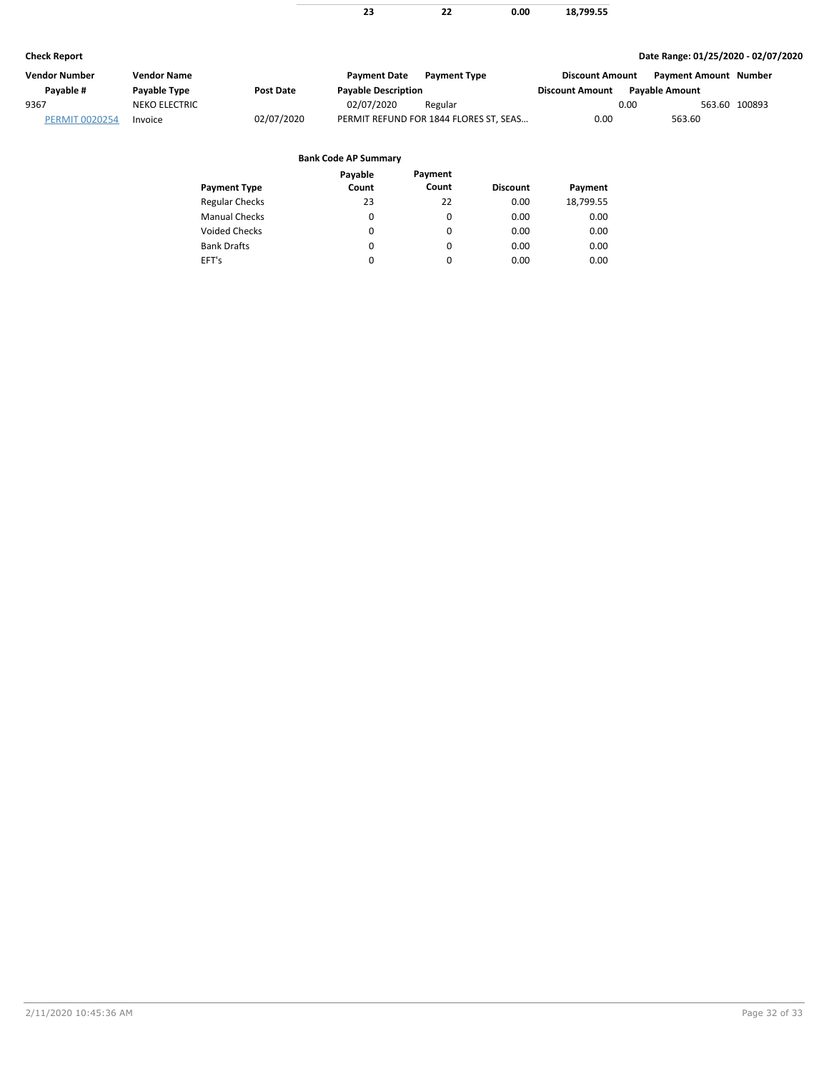|                       |                      |                       | 23                          | 22                                     | 0.00            | 18,799.55              |      |                                     |               |
|-----------------------|----------------------|-----------------------|-----------------------------|----------------------------------------|-----------------|------------------------|------|-------------------------------------|---------------|
| <b>Check Report</b>   |                      |                       |                             |                                        |                 |                        |      | Date Range: 01/25/2020 - 02/07/2020 |               |
| <b>Vendor Number</b>  | <b>Vendor Name</b>   |                       | <b>Payment Date</b>         | <b>Payment Type</b>                    |                 | <b>Discount Amount</b> |      | <b>Payment Amount Number</b>        |               |
| Payable #             | Payable Type         | <b>Post Date</b>      | <b>Payable Description</b>  |                                        |                 | <b>Discount Amount</b> |      | <b>Payable Amount</b>               |               |
| 9367                  | <b>NEKO ELECTRIC</b> |                       | 02/07/2020                  | Regular                                |                 |                        | 0.00 |                                     | 563.60 100893 |
| <b>PERMIT 0020254</b> | Invoice              | 02/07/2020            |                             | PERMIT REFUND FOR 1844 FLORES ST, SEAS |                 | 0.00                   |      | 563.60                              |               |
|                       |                      |                       | <b>Bank Code AP Summary</b> |                                        |                 |                        |      |                                     |               |
|                       |                      |                       | Payable                     | Payment                                |                 |                        |      |                                     |               |
|                       |                      | <b>Payment Type</b>   | Count                       | Count                                  | <b>Discount</b> | Payment                |      |                                     |               |
|                       |                      | <b>Regular Checks</b> | 23                          | 22                                     | 0.00            | 18,799.55              |      |                                     |               |
|                       |                      | <b>Manual Checks</b>  | 0                           | 0                                      | 0.00            | 0.00                   |      |                                     |               |

0 0 0

0  $\pmb{0}$ 0 0.00 0.00 0.00 0.00 0.00 0.00

Voided Checks

Bank Drafts EFT's